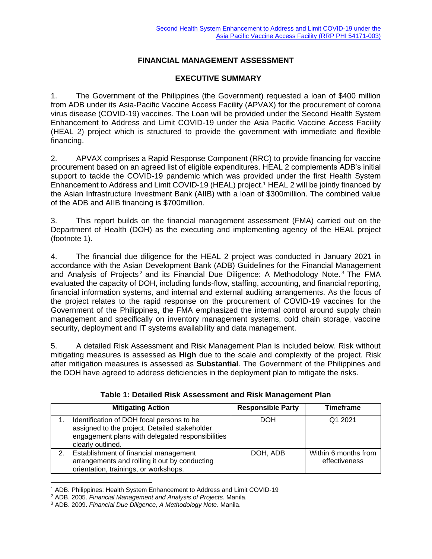#### **FINANCIAL MANAGEMENT ASSESSMENT**

#### **EXECUTIVE SUMMARY**

1. The Government of the Philippines (the Government) requested a loan of \$400 million from ADB under its Asia-Pacific Vaccine Access Facility (APVAX) for the procurement of corona virus disease (COVID-19) vaccines. The Loan will be provided under the Second Health System Enhancement to Address and Limit COVID-19 under the Asia Pacific Vaccine Access Facility (HEAL 2) project which is structured to provide the government with immediate and flexible financing.

2. APVAX comprises a Rapid Response Component (RRC) to provide financing for vaccine procurement based on an agreed list of eligible expenditures. HEAL 2 complements ADB's initial support to tackle the COVID-19 pandemic which was provided under the first Health System Enhancement to Address and Limit COVID-19 (HEAL) project.<sup>1</sup> HEAL 2 will be jointly financed by the Asian Infrastructure Investment Bank (AIIB) with a loan of \$300million. The combined value of the ADB and AIIB financing is \$700million.

3. This report builds on the financial management assessment (FMA) carried out on the Department of Health (DOH) as the executing and implementing agency of the HEAL project (footnote 1).

4. The financial due diligence for the HEAL 2 project was conducted in January 2021 in accordance with the Asian Development Bank (ADB) Guidelines for the Financial Management and Analysis of Projects<sup>2</sup> and its Financial Due Diligence: A Methodology Note.<sup>3</sup> The FMA evaluated the capacity of DOH, including funds-flow, staffing, accounting, and financial reporting, financial information systems, and internal and external auditing arrangements. As the focus of the project relates to the rapid response on the procurement of COVID-19 vaccines for the Government of the Philippines, the FMA emphasized the internal control around supply chain management and specifically on inventory management systems, cold chain storage, vaccine security, deployment and IT systems availability and data management.

5. A detailed Risk Assessment and Risk Management Plan is included below. Risk without mitigating measures is assessed as **High** due to the scale and complexity of the project. Risk after mitigation measures is assessed as **Substantial**. The Government of the Philippines and the DOH have agreed to address deficiencies in the deployment plan to mitigate the risks.

| <b>Mitigating Action</b>                                                                                                                                            | <b>Responsible Party</b> | Timeframe                             |
|---------------------------------------------------------------------------------------------------------------------------------------------------------------------|--------------------------|---------------------------------------|
| Identification of DOH focal persons to be<br>assigned to the project. Detailed stakeholder<br>engagement plans with delegated responsibilities<br>clearly outlined. | DOH                      | Q1 2021                               |
| Establishment of financial management<br>arrangements and rolling it out by conducting<br>orientation, trainings, or workshops.                                     | DOH, ADB                 | Within 6 months from<br>effectiveness |

**Table 1: Detailed Risk Assessment and Risk Management Plan**

<sup>1</sup> ADB. Philippines: Health System Enhancement to Address and Limit COVID-19

<sup>2</sup> ADB. 2005. *Financial Management and Analysis of Projects.* Manila.

<sup>3</sup> ADB. 2009. *Financial Due Diligence, A Methodology Note*. Manila.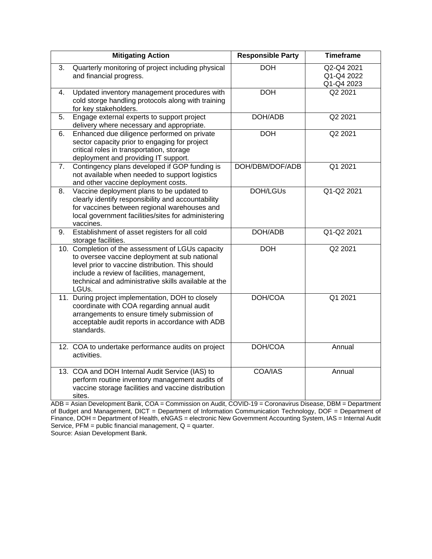|    | <b>Mitigating Action</b>                                                                                                                                                                                                                                               | <b>Responsible Party</b> | <b>Timeframe</b>                       |
|----|------------------------------------------------------------------------------------------------------------------------------------------------------------------------------------------------------------------------------------------------------------------------|--------------------------|----------------------------------------|
| 3. | Quarterly monitoring of project including physical<br>and financial progress.                                                                                                                                                                                          | <b>DOH</b>               | Q2-Q4 2021<br>Q1-Q4 2022<br>Q1-Q4 2023 |
| 4. | Updated inventory management procedures with<br>cold storge handling protocols along with training<br>for key stakeholders.                                                                                                                                            | <b>DOH</b>               | Q2 2021                                |
| 5. | Engage external experts to support project<br>delivery where necessary and appropriate.                                                                                                                                                                                | DOH/ADB                  | Q2 2021                                |
| 6. | Enhanced due diligence performed on private<br>sector capacity prior to engaging for project<br>critical roles in transportation, storage<br>deployment and providing IT support.                                                                                      | <b>DOH</b>               | Q2 2021                                |
| 7. | Contingency plans developed if GOP funding is<br>not available when needed to support logistics<br>and other vaccine deployment costs.                                                                                                                                 | DOH/DBM/DOF/ADB          | Q1 2021                                |
| 8. | Vaccine deployment plans to be updated to<br>clearly identify responsibility and accountability<br>for vaccines between regional warehouses and<br>local government facilities/sites for administering<br>vaccines.                                                    | <b>DOH/LGUs</b>          | Q1-Q2 2021                             |
| 9. | Establishment of asset registers for all cold<br>storage facilities.                                                                                                                                                                                                   | DOH/ADB                  | Q1-Q2 2021                             |
|    | 10. Completion of the assessment of LGUs capacity<br>to oversee vaccine deployment at sub national<br>level prior to vaccine distribution. This should<br>include a review of facilities, management,<br>technical and administrative skills available at the<br>LGUs. | <b>DOH</b>               | Q2 2021                                |
|    | 11. During project implementation, DOH to closely<br>coordinate with COA regarding annual audit<br>arrangements to ensure timely submission of<br>acceptable audit reports in accordance with ADB<br>standards.                                                        | DOH/COA                  | Q1 2021                                |
|    | 12. COA to undertake performance audits on project<br>activities.                                                                                                                                                                                                      | DOH/COA                  | Annual                                 |
|    | 13. COA and DOH Internal Audit Service (IAS) to<br>perform routine inventory management audits of<br>vaccine storage facilities and vaccine distribution<br>sites.                                                                                                     | COA/IAS                  | Annual                                 |

ADB = Asian Development Bank, COA = Commission on Audit, COVID-19 = Coronavirus Disease, DBM = Department of Budget and Management, DICT = Department of Information Communication Technology, DOF = Department of Finance, DOH = Department of Health, eNGAS = electronic New Government Accounting System, IAS = Internal Audit Service, PFM = public financial management, Q = quarter.

Source: Asian Development Bank.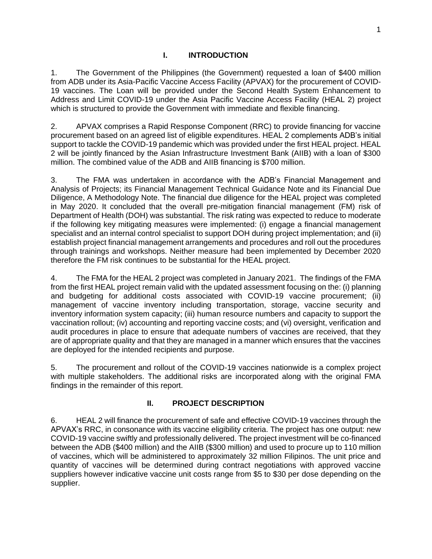#### **I. INTRODUCTION**

1. The Government of the Philippines (the Government) requested a loan of \$400 million from ADB under its Asia-Pacific Vaccine Access Facility (APVAX) for the procurement of COVID-19 vaccines. The Loan will be provided under the Second Health System Enhancement to Address and Limit COVID-19 under the Asia Pacific Vaccine Access Facility (HEAL 2) project which is structured to provide the Government with immediate and flexible financing.

2. APVAX comprises a Rapid Response Component (RRC) to provide financing for vaccine procurement based on an agreed list of eligible expenditures. HEAL 2 complements ADB's initial support to tackle the COVID-19 pandemic which was provided under the first HEAL project. HEAL 2 will be jointly financed by the Asian Infrastructure Investment Bank (AIIB) with a loan of \$300 million. The combined value of the ADB and AIIB financing is \$700 million.

3. The FMA was undertaken in accordance with the ADB's Financial Management and Analysis of Projects; its Financial Management Technical Guidance Note and its Financial Due Diligence, A Methodology Note. The financial due diligence for the HEAL project was completed in May 2020. It concluded that the overall pre-mitigation financial management (FM) risk of Department of Health (DOH) was substantial. The risk rating was expected to reduce to moderate if the following key mitigating measures were implemented: (i) engage a financial management specialist and an internal control specialist to support DOH during project implementation; and (ii) establish project financial management arrangements and procedures and roll out the procedures through trainings and workshops. Neither measure had been implemented by December 2020 therefore the FM risk continues to be substantial for the HEAL project.

4. The FMA for the HEAL 2 project was completed in January 2021. The findings of the FMA from the first HEAL project remain valid with the updated assessment focusing on the: (i) planning and budgeting for additional costs associated with COVID-19 vaccine procurement; (ii) management of vaccine inventory including transportation, storage, vaccine security and inventory information system capacity; (iii) human resource numbers and capacity to support the vaccination rollout; (iv) accounting and reporting vaccine costs; and (vi) oversight, verification and audit procedures in place to ensure that adequate numbers of vaccines are received, that they are of appropriate quality and that they are managed in a manner which ensures that the vaccines are deployed for the intended recipients and purpose.

5. The procurement and rollout of the COVID-19 vaccines nationwide is a complex project with multiple stakeholders. The additional risks are incorporated along with the original FMA findings in the remainder of this report.

### **II. PROJECT DESCRIPTION**

6. HEAL 2 will finance the procurement of safe and effective COVID-19 vaccines through the APVAX's RRC, in consonance with its vaccine eligibility criteria. The project has one output: new COVID-19 vaccine swiftly and professionally delivered. The project investment will be co-financed between the ADB (\$400 million) and the AIIB (\$300 million) and used to procure up to 110 million of vaccines, which will be administered to approximately 32 million Filipinos. The unit price and quantity of vaccines will be determined during contract negotiations with approved vaccine suppliers however indicative vaccine unit costs range from \$5 to \$30 per dose depending on the supplier.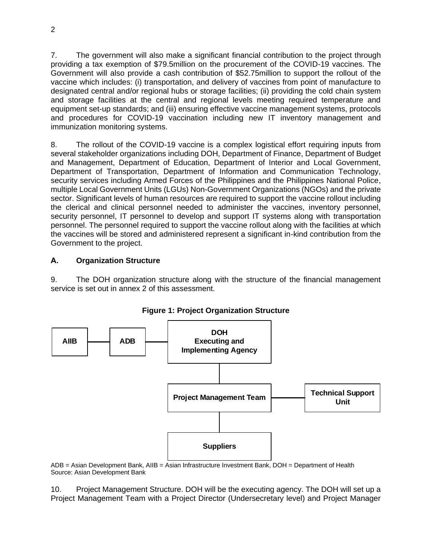7. The government will also make a significant financial contribution to the project through providing a tax exemption of \$79.5million on the procurement of the COVID-19 vaccines. The Government will also provide a cash contribution of \$52.75million to support the rollout of the vaccine which includes: (i) transportation, and delivery of vaccines from point of manufacture to designated central and/or regional hubs or storage facilities; (ii) providing the cold chain system and storage facilities at the central and regional levels meeting required temperature and equipment set-up standards; and (iii) ensuring effective vaccine management systems, protocols and procedures for COVID-19 vaccination including new IT inventory management and immunization monitoring systems.

8. The rollout of the COVID-19 vaccine is a complex logistical effort requiring inputs from several stakeholder organizations including DOH, Department of Finance, Department of Budget and Management, Department of Education, Department of Interior and Local Government, Department of Transportation, Department of Information and Communication Technology, security services including Armed Forces of the Philippines and the Philippines National Police, multiple Local Government Units (LGUs) Non-Government Organizations (NGOs) and the private sector. Significant levels of human resources are required to support the vaccine rollout including the clerical and clinical personnel needed to administer the vaccines, inventory personnel, security personnel, IT personnel to develop and support IT systems along with transportation personnel. The personnel required to support the vaccine rollout along with the facilities at which the vaccines will be stored and administered represent a significant in-kind contribution from the Government to the project.

#### **A. Organization Structure**

9. The DOH organization structure along with the structure of the financial management service is set out in annex 2 of this assessment.



**Figure 1: Project Organization Structure**

ADB = Asian Development Bank, AIIB = Asian Infrastructure Investment Bank, DOH = Department of Health Source: Asian Development Bank

10. Project Management Structure. DOH will be the executing agency. The DOH will set up a Project Management Team with a Project Director (Undersecretary level) and Project Manager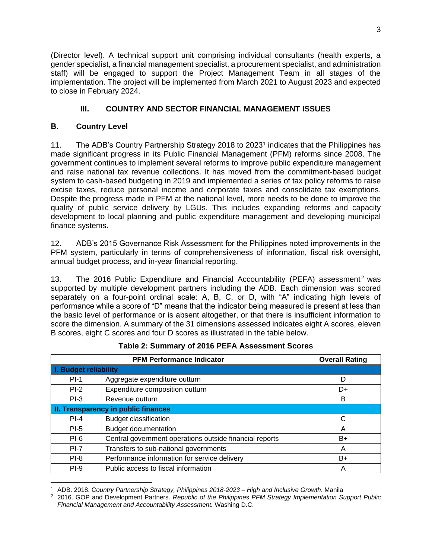(Director level). A technical support unit comprising individual consultants (health experts, a gender specialist, a financial management specialist, a procurement specialist, and administration staff) will be engaged to support the Project Management Team in all stages of the implementation. The project will be implemented from March 2021 to August 2023 and expected to close in February 2024.

## **III. COUNTRY AND SECTOR FINANCIAL MANAGEMENT ISSUES**

### **B. Country Level**

11. The ADB's Country Partnership Strategy 2018 to 2023<sup>1</sup> indicates that the Philippines has made significant progress in its Public Financial Management (PFM) reforms since 2008. The government continues to implement several reforms to improve public expenditure management and raise national tax revenue collections. It has moved from the commitment-based budget system to cash-based budgeting in 2019 and implemented a series of tax policy reforms to raise excise taxes, reduce personal income and corporate taxes and consolidate tax exemptions. Despite the progress made in PFM at the national level, more needs to be done to improve the quality of public service delivery by LGUs. This includes expanding reforms and capacity development to local planning and public expenditure management and developing municipal finance systems.

12. ADB's 2015 Governance Risk Assessment for the Philippines noted improvements in the PFM system, particularly in terms of comprehensiveness of information, fiscal risk oversight, annual budget process, and in-year financial reporting.

13. The 2016 Public Expenditure and Financial Accountability (PEFA) assessment<sup>2</sup> was supported by multiple development partners including the ADB. Each dimension was scored separately on a four-point ordinal scale: A, B, C, or D, with "A" indicating high levels of performance while a score of "D" means that the indicator being measured is present at less than the basic level of performance or is absent altogether, or that there is insufficient information to score the dimension. A summary of the 31 dimensions assessed indicates eight A scores, eleven B scores, eight C scores and four D scores as illustrated in the table below.

|                                     | <b>Overall Rating</b>                                   |    |  |  |  |
|-------------------------------------|---------------------------------------------------------|----|--|--|--|
|                                     | <b>I. Budget reliability</b>                            |    |  |  |  |
| $PI-1$                              | Aggregate expenditure outturn                           | D  |  |  |  |
| $PI-2$                              | Expenditure composition outturn                         | D+ |  |  |  |
| $PI-3$                              | Revenue outturn                                         | B  |  |  |  |
| II. Transparency in public finances |                                                         |    |  |  |  |
| $PI-4$                              | <b>Budget classification</b>                            | C  |  |  |  |
| $PI-5$                              | <b>Budget documentation</b>                             | Α  |  |  |  |
| $PI-6$                              | Central government operations outside financial reports | B+ |  |  |  |
| $PI-7$                              | Transfers to sub-national governments                   | Α  |  |  |  |
| $PI-8$                              | Performance information for service delivery            | B+ |  |  |  |
| $PI-9$                              | Public access to fiscal information                     | А  |  |  |  |

#### **Table 2: Summary of 2016 PEFA Assessment Scores**

<sup>1</sup> ADB. 2018. C*ountry Partnership Strategy, Philippines 2018-2023 – High and Inclusive Growth*. Manila

<sup>2</sup> 2016. GOP and Development Partners. *Republic of the Philippines PFM Strategy Implementation Support Public Financial Management and Accountability Assessment.* Washing D.C.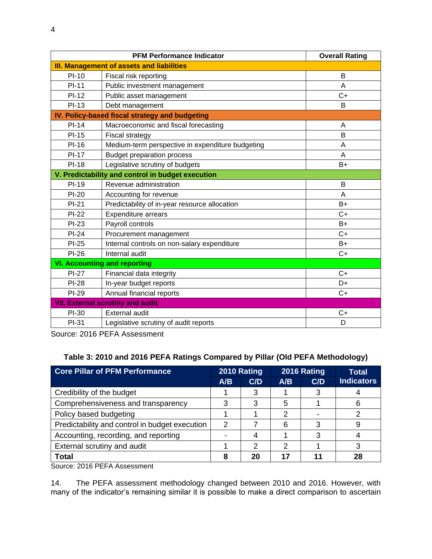|              | <b>Overall Rating</b>                             |      |  |  |  |
|--------------|---------------------------------------------------|------|--|--|--|
|              | <b>III. Management of assets and liabilities</b>  |      |  |  |  |
| $PI-10$      | Fiscal risk reporting                             | B    |  |  |  |
| $PI-11$      | Public investment management                      | A    |  |  |  |
| $PI-12$      | Public asset management                           | $C+$ |  |  |  |
| $PI-13$      | Debt management                                   | B    |  |  |  |
|              | IV. Policy-based fiscal strategy and budgeting    |      |  |  |  |
| $PI-14$      | Macroeconomic and fiscal forecasting              | A    |  |  |  |
| $PI-15$      | Fiscal strategy                                   | B    |  |  |  |
| $PI-16$      | Medium-term perspective in expenditure budgeting  | A    |  |  |  |
| <b>PI-17</b> | <b>Budget preparation process</b>                 | A    |  |  |  |
| <b>PI-18</b> | Legislative scrutiny of budgets                   | $B+$ |  |  |  |
|              | V. Predictability and control in budget execution |      |  |  |  |
| <b>PI-19</b> | Revenue administration                            | B    |  |  |  |
| PI-20        | Accounting for revenue                            | A    |  |  |  |
| $PI-21$      | Predictability of in-year resource allocation     | $B+$ |  |  |  |
| $PI-22$      | Expenditure arrears                               | $C+$ |  |  |  |
| PI-23        | Payroll controls                                  | $B+$ |  |  |  |
| $PI-24$      | Procurement management                            | $C+$ |  |  |  |
| PI-25        | Internal controls on non-salary expenditure       | $B+$ |  |  |  |
| $PI-26$      | Internal audit                                    | $C+$ |  |  |  |
|              | <b>VI. Accounting and reporting</b>               |      |  |  |  |
| <b>PI-27</b> | Financial data integrity                          | $C+$ |  |  |  |
| <b>PI-28</b> | In-year budget reports                            | D+   |  |  |  |
| <b>PI-29</b> | Annual financial reports                          | $C+$ |  |  |  |
|              | <b>VII. External scrutiny and audit</b>           |      |  |  |  |
| PI-30        | <b>External audit</b>                             | $C+$ |  |  |  |
| PI-31        | Legislative scrutiny of audit reports             | D    |  |  |  |

Source: 2016 PEFA Assessment

### **Table 3: 2010 and 2016 PEFA Ratings Compared by Pillar (Old PEFA Methodology)**

| <b>Core Pillar of PFM Performance</b>          |               | 2010 Rating |     | 2016 Rating | Total             |
|------------------------------------------------|---------------|-------------|-----|-------------|-------------------|
|                                                | A/B           | C/D         | A/B | C/D         | <b>Indicators</b> |
| Credibility of the budget                      |               | 3           |     | 3           |                   |
| Comprehensiveness and transparency             | 3             | 3           | 5   |             | 6                 |
| Policy based budgeting                         |               |             | 2   |             |                   |
| Predictability and control in budget execution | $\mathcal{P}$ |             | 6   | 3           |                   |
| Accounting, recording, and reporting           |               | 4           |     | 3           |                   |
| External scrutiny and audit                    |               | 2           | າ   |             | 3                 |
| <b>Total</b>                                   | 8             | 20          | 17  |             | 28                |

Source: 2016 PEFA Assessment

14. The PEFA assessment methodology changed between 2010 and 2016. However, with many of the indicator's remaining similar it is possible to make a direct comparison to ascertain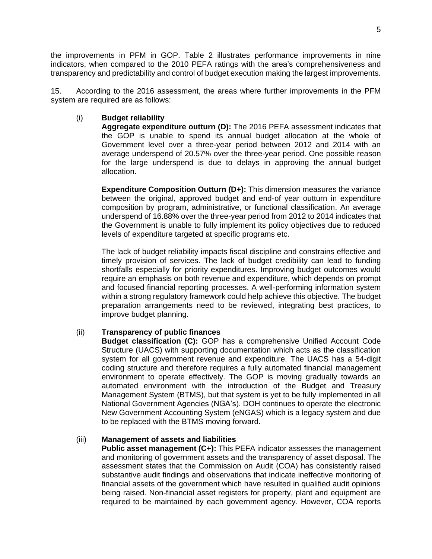the improvements in PFM in GOP. Table 2 illustrates performance improvements in nine indicators, when compared to the 2010 PEFA ratings with the area's comprehensiveness and transparency and predictability and control of budget execution making the largest improvements.

15. According to the 2016 assessment, the areas where further improvements in the PFM system are required are as follows:

#### (i) **Budget reliability**

**Aggregate expenditure outturn (D):** The 2016 PEFA assessment indicates that the GOP is unable to spend its annual budget allocation at the whole of Government level over a three-year period between 2012 and 2014 with an average underspend of 20.57% over the three-year period. One possible reason for the large underspend is due to delays in approving the annual budget allocation.

**Expenditure Composition Outturn (D+):** This dimension measures the variance between the original, approved budget and end-of year outturn in expenditure composition by program, administrative, or functional classification. An average underspend of 16.88% over the three-year period from 2012 to 2014 indicates that the Government is unable to fully implement its policy objectives due to reduced levels of expenditure targeted at specific programs etc.

The lack of budget reliability impacts fiscal discipline and constrains effective and timely provision of services. The lack of budget credibility can lead to funding shortfalls especially for priority expenditures. Improving budget outcomes would require an emphasis on both revenue and expenditure, which depends on prompt and focused financial reporting processes. A well-performing information system within a strong regulatory framework could help achieve this objective. The budget preparation arrangements need to be reviewed, integrating best practices, to improve budget planning.

#### (ii) **Transparency of public finances**

**Budget classification (C):** GOP has a comprehensive Unified Account Code Structure (UACS) with supporting documentation which acts as the classification system for all government revenue and expenditure. The UACS has a 54-digit coding structure and therefore requires a fully automated financial management environment to operate effectively. The GOP is moving gradually towards an automated environment with the introduction of the Budget and Treasury Management System (BTMS), but that system is yet to be fully implemented in all National Government Agencies (NGA's). DOH continues to operate the electronic New Government Accounting System (eNGAS) which is a legacy system and due to be replaced with the BTMS moving forward.

#### (iii) **Management of assets and liabilities**

**Public asset management (C+):** This PEFA indicator assesses the management and monitoring of government assets and the transparency of asset disposal. The assessment states that the Commission on Audit (COA) has consistently raised substantive audit findings and observations that indicate ineffective monitoring of financial assets of the government which have resulted in qualified audit opinions being raised. Non-financial asset registers for property, plant and equipment are required to be maintained by each government agency. However, COA reports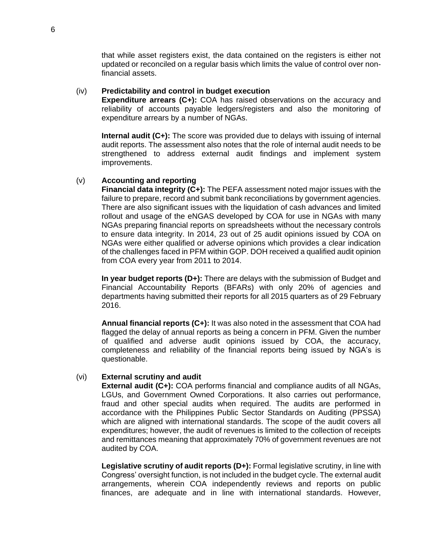that while asset registers exist, the data contained on the registers is either not updated or reconciled on a regular basis which limits the value of control over nonfinancial assets.

#### (iv) **Predictability and control in budget execution**

**Expenditure arrears (C+):** COA has raised observations on the accuracy and reliability of accounts payable ledgers/registers and also the monitoring of expenditure arrears by a number of NGAs.

**Internal audit (C+):** The score was provided due to delays with issuing of internal audit reports. The assessment also notes that the role of internal audit needs to be strengthened to address external audit findings and implement system improvements.

#### (v) **Accounting and reporting**

**Financial data integrity (C+):** The PEFA assessment noted major issues with the failure to prepare, record and submit bank reconciliations by government agencies. There are also significant issues with the liquidation of cash advances and limited rollout and usage of the eNGAS developed by COA for use in NGAs with many NGAs preparing financial reports on spreadsheets without the necessary controls to ensure data integrity. In 2014, 23 out of 25 audit opinions issued by COA on NGAs were either qualified or adverse opinions which provides a clear indication of the challenges faced in PFM within GOP. DOH received a qualified audit opinion from COA every year from 2011 to 2014.

**In year budget reports (D+):** There are delays with the submission of Budget and Financial Accountability Reports (BFARs) with only 20% of agencies and departments having submitted their reports for all 2015 quarters as of 29 February 2016.

**Annual financial reports (C+):** It was also noted in the assessment that COA had flagged the delay of annual reports as being a concern in PFM. Given the number of qualified and adverse audit opinions issued by COA, the accuracy, completeness and reliability of the financial reports being issued by NGA's is questionable.

#### (vi) **External scrutiny and audit**

**External audit (C+):** COA performs financial and compliance audits of all NGAs, LGUs, and Government Owned Corporations. It also carries out performance, fraud and other special audits when required. The audits are performed in accordance with the Philippines Public Sector Standards on Auditing (PPSSA) which are aligned with international standards. The scope of the audit covers all expenditures; however, the audit of revenues is limited to the collection of receipts and remittances meaning that approximately 70% of government revenues are not audited by COA.

Legislative scrutiny of audit reports (D+): Formal legislative scrutiny, in line with Congress' oversight function, is not included in the budget cycle. The external audit arrangements, wherein COA independently reviews and reports on public finances, are adequate and in line with international standards. However,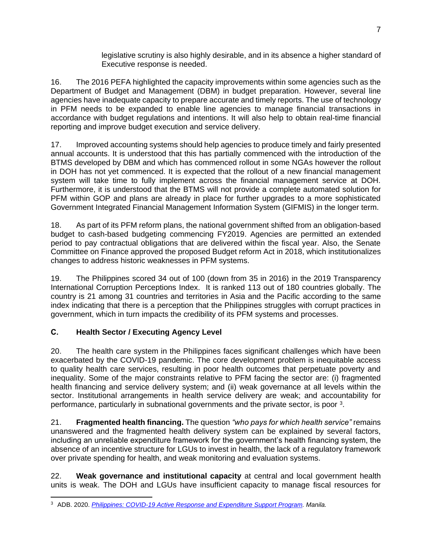legislative scrutiny is also highly desirable, and in its absence a higher standard of Executive response is needed.

16. The 2016 PEFA highlighted the capacity improvements within some agencies such as the Department of Budget and Management (DBM) in budget preparation. However, several line agencies have inadequate capacity to prepare accurate and timely reports. The use of technology in PFM needs to be expanded to enable line agencies to manage financial transactions in accordance with budget regulations and intentions. It will also help to obtain real-time financial reporting and improve budget execution and service delivery.

17. Improved accounting systems should help agencies to produce timely and fairly presented annual accounts. It is understood that this has partially commenced with the introduction of the BTMS developed by DBM and which has commenced rollout in some NGAs however the rollout in DOH has not yet commenced. It is expected that the rollout of a new financial management system will take time to fully implement across the financial management service at DOH. Furthermore, it is understood that the BTMS will not provide a complete automated solution for PFM within GOP and plans are already in place for further upgrades to a more sophisticated Government Integrated Financial Management Information System (GIFMIS) in the longer term.

18. As part of its PFM reform plans, the national government shifted from an obligation-based budget to cash-based budgeting commencing FY2019. Agencies are permitted an extended period to pay contractual obligations that are delivered within the fiscal year. Also, the Senate Committee on Finance approved the proposed Budget reform Act in 2018, which institutionalizes changes to address historic weaknesses in PFM systems.

19. The Philippines scored 34 out of 100 (down from 35 in 2016) in the 2019 Transparency International Corruption Perceptions Index. It is ranked 113 out of 180 countries globally. The country is 21 among 31 countries and territories in Asia and the Pacific according to the same index indicating that there is a perception that the Philippines struggles with corrupt practices in government, which in turn impacts the credibility of its PFM systems and processes.

# **C. Health Sector / Executing Agency Level**

20. The health care system in the Philippines faces significant challenges which have been exacerbated by the COVID-19 pandemic. The core development problem is inequitable access to quality health care services, resulting in poor health outcomes that perpetuate poverty and inequality. Some of the major constraints relative to PFM facing the sector are: (i) fragmented health financing and service delivery system; and (ii) weak governance at all levels within the sector. Institutional arrangements in health service delivery are weak; and accountability for performance, particularly in subnational governments and the private sector, is poor <sup>3</sup>.

21. **Fragmented health financing.** The question *"who pays for which health service"* remains unanswered and the fragmented health delivery system can be explained by several factors, including an unreliable expenditure framework for the government's health financing system, the absence of an incentive structure for LGUs to invest in health, the lack of a regulatory framework over private spending for health, and weak monitoring and evaluation systems.

22. **Weak governance and institutional capacity** at central and local government health units is weak. The DOH and LGUs have insufficient capacity to manage fiscal resources for

<sup>3</sup> ADB. 2020. *[Philippines: COVID-19 Active Response and Expenditure Support Program.](https://www.adb.org/projects/54138-001/main#project-overview) Manila.*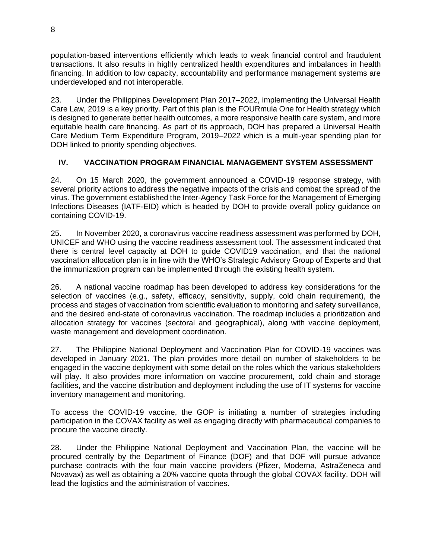population-based interventions efficiently which leads to weak financial control and fraudulent transactions. It also results in highly centralized health expenditures and imbalances in health financing. In addition to low capacity, accountability and performance management systems are underdeveloped and not interoperable.

23. Under the Philippines Development Plan 2017–2022, implementing the Universal Health Care Law, 2019 is a key priority. Part of this plan is the FOURmula One for Health strategy which is designed to generate better health outcomes, a more responsive health care system, and more equitable health care financing. As part of its approach, DOH has prepared a Universal Health Care Medium Term Expenditure Program, 2019–2022 which is a multi-year spending plan for DOH linked to priority spending objectives.

## **IV. VACCINATION PROGRAM FINANCIAL MANAGEMENT SYSTEM ASSESSMENT**

24. On 15 March 2020, the government announced a COVID-19 response strategy, with several priority actions to address the negative impacts of the crisis and combat the spread of the virus. The government established the Inter-Agency Task Force for the Management of Emerging Infections Diseases (IATF-EID) which is headed by DOH to provide overall policy guidance on containing COVID-19.

25. In November 2020, a coronavirus vaccine readiness assessment was performed by DOH, UNICEF and WHO using the vaccine readiness assessment tool. The assessment indicated that there is central level capacity at DOH to guide COVID19 vaccination, and that the national vaccination allocation plan is in line with the WHO's Strategic Advisory Group of Experts and that the immunization program can be implemented through the existing health system.

26. A national vaccine roadmap has been developed to address key considerations for the selection of vaccines (e.g., safety, efficacy, sensitivity, supply, cold chain requirement), the process and stages of vaccination from scientific evaluation to monitoring and safety surveillance, and the desired end-state of coronavirus vaccination. The roadmap includes a prioritization and allocation strategy for vaccines (sectoral and geographical), along with vaccine deployment, waste management and development coordination.

27. The Philippine National Deployment and Vaccination Plan for COVID-19 vaccines was developed in January 2021. The plan provides more detail on number of stakeholders to be engaged in the vaccine deployment with some detail on the roles which the various stakeholders will play. It also provides more information on vaccine procurement, cold chain and storage facilities, and the vaccine distribution and deployment including the use of IT systems for vaccine inventory management and monitoring.

To access the COVID-19 vaccine, the GOP is initiating a number of strategies including participation in the COVAX facility as well as engaging directly with pharmaceutical companies to procure the vaccine directly.

28. Under the Philippine National Deployment and Vaccination Plan, the vaccine will be procured centrally by the Department of Finance (DOF) and that DOF will pursue advance purchase contracts with the four main vaccine providers (Pfizer, Moderna, AstraZeneca and Novavax) as well as obtaining a 20% vaccine quota through the global COVAX facility. DOH will lead the logistics and the administration of vaccines.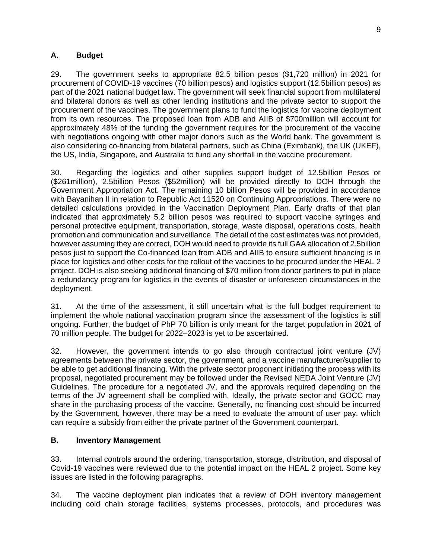#### **A. Budget**

29. The government seeks to appropriate 82.5 billion pesos (\$1,720 million) in 2021 for procurement of COVID-19 vaccines (70 billion pesos) and logistics support (12.5billion pesos) as part of the 2021 national budget law. The government will seek financial support from multilateral and bilateral donors as well as other lending institutions and the private sector to support the procurement of the vaccines. The government plans to fund the logistics for vaccine deployment from its own resources. The proposed loan from ADB and AIIB of \$700million will account for approximately 48% of the funding the government requires for the procurement of the vaccine with negotiations ongoing with other major donors such as the World bank. The government is also considering co-financing from bilateral partners, such as China (Eximbank), the UK (UKEF), the US, India, Singapore, and Australia to fund any shortfall in the vaccine procurement.

30. Regarding the logistics and other supplies support budget of 12.5billion Pesos or (\$261million), 2.5billion Pesos (\$52million) will be provided directly to DOH through the Government Appropriation Act. The remaining 10 billion Pesos will be provided in accordance with Bayanihan II in relation to Republic Act 11520 on Continuing Appropriations. There were no detailed calculations provided in the Vaccination Deployment Plan. Early drafts of that plan indicated that approximately 5.2 billion pesos was required to support vaccine syringes and personal protective equipment, transportation, storage, waste disposal, operations costs, health promotion and communication and surveillance. The detail of the cost estimates was not provided, however assuming they are correct, DOH would need to provide its full GAA allocation of 2.5billion pesos just to support the Co-financed loan from ADB and AIIB to ensure sufficient financing is in place for logistics and other costs for the rollout of the vaccines to be procured under the HEAL 2 project. DOH is also seeking additional financing of \$70 million from donor partners to put in place a redundancy program for logistics in the events of disaster or unforeseen circumstances in the deployment.

31. At the time of the assessment, it still uncertain what is the full budget requirement to implement the whole national vaccination program since the assessment of the logistics is still ongoing. Further, the budget of PhP 70 billion is only meant for the target population in 2021 of 70 million people. The budget for 2022–2023 is yet to be ascertained.

32. However, the government intends to go also through contractual joint venture (JV) agreements between the private sector, the government, and a vaccine manufacturer/supplier to be able to get additional financing. With the private sector proponent initiating the process with its proposal, negotiated procurement may be followed under the Revised NEDA Joint Venture (JV) Guidelines. The procedure for a negotiated JV, and the approvals required depending on the terms of the JV agreement shall be complied with. Ideally, the private sector and GOCC may share in the purchasing process of the vaccine. Generally, no financing cost should be incurred by the Government, however, there may be a need to evaluate the amount of user pay, which can require a subsidy from either the private partner of the Government counterpart.

#### **B. Inventory Management**

33. Internal controls around the ordering, transportation, storage, distribution, and disposal of Covid-19 vaccines were reviewed due to the potential impact on the HEAL 2 project. Some key issues are listed in the following paragraphs.

34. The vaccine deployment plan indicates that a review of DOH inventory management including cold chain storage facilities, systems processes, protocols, and procedures was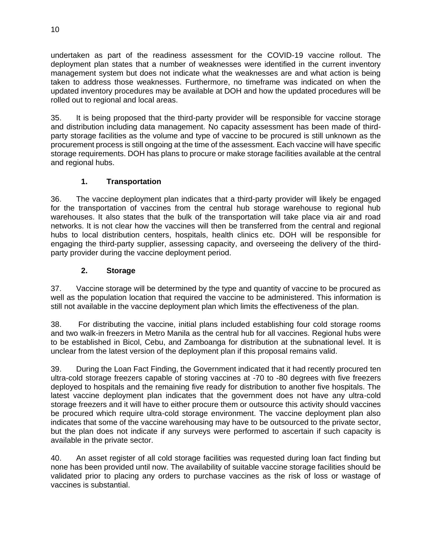undertaken as part of the readiness assessment for the COVID-19 vaccine rollout. The deployment plan states that a number of weaknesses were identified in the current inventory management system but does not indicate what the weaknesses are and what action is being taken to address those weaknesses. Furthermore, no timeframe was indicated on when the updated inventory procedures may be available at DOH and how the updated procedures will be rolled out to regional and local areas.

35. It is being proposed that the third-party provider will be responsible for vaccine storage and distribution including data management. No capacity assessment has been made of thirdparty storage facilities as the volume and type of vaccine to be procured is still unknown as the procurement process is still ongoing at the time of the assessment. Each vaccine will have specific storage requirements. DOH has plans to procure or make storage facilities available at the central and regional hubs.

# **1. Transportation**

36. The vaccine deployment plan indicates that a third-party provider will likely be engaged for the transportation of vaccines from the central hub storage warehouse to regional hub warehouses. It also states that the bulk of the transportation will take place via air and road networks. It is not clear how the vaccines will then be transferred from the central and regional hubs to local distribution centers, hospitals, health clinics etc. DOH will be responsible for engaging the third-party supplier, assessing capacity, and overseeing the delivery of the thirdparty provider during the vaccine deployment period.

### **2. Storage**

37. Vaccine storage will be determined by the type and quantity of vaccine to be procured as well as the population location that required the vaccine to be administered. This information is still not available in the vaccine deployment plan which limits the effectiveness of the plan.

38. For distributing the vaccine, initial plans included establishing four cold storage rooms and two walk-in freezers in Metro Manila as the central hub for all vaccines. Regional hubs were to be established in Bicol, Cebu, and Zamboanga for distribution at the subnational level. It is unclear from the latest version of the deployment plan if this proposal remains valid.

39. During the Loan Fact Finding, the Government indicated that it had recently procured ten ultra-cold storage freezers capable of storing vaccines at -70 to -80 degrees with five freezers deployed to hospitals and the remaining five ready for distribution to another five hospitals. The latest vaccine deployment plan indicates that the government does not have any ultra-cold storage freezers and it will have to either procure them or outsource this activity should vaccines be procured which require ultra-cold storage environment. The vaccine deployment plan also indicates that some of the vaccine warehousing may have to be outsourced to the private sector, but the plan does not indicate if any surveys were performed to ascertain if such capacity is available in the private sector.

40. An asset register of all cold storage facilities was requested during loan fact finding but none has been provided until now. The availability of suitable vaccine storage facilities should be validated prior to placing any orders to purchase vaccines as the risk of loss or wastage of vaccines is substantial.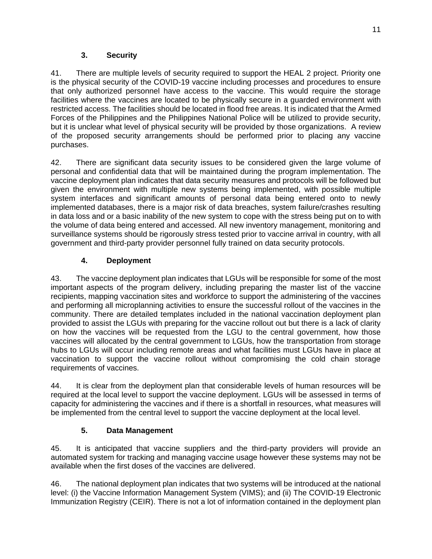### **3. Security**

41. There are multiple levels of security required to support the HEAL 2 project. Priority one is the physical security of the COVID-19 vaccine including processes and procedures to ensure that only authorized personnel have access to the vaccine. This would require the storage facilities where the vaccines are located to be physically secure in a guarded environment with restricted access. The facilities should be located in flood free areas. It is indicated that the Armed Forces of the Philippines and the Philippines National Police will be utilized to provide security, but it is unclear what level of physical security will be provided by those organizations. A review of the proposed security arrangements should be performed prior to placing any vaccine purchases.

42. There are significant data security issues to be considered given the large volume of personal and confidential data that will be maintained during the program implementation. The vaccine deployment plan indicates that data security measures and protocols will be followed but given the environment with multiple new systems being implemented, with possible multiple system interfaces and significant amounts of personal data being entered onto to newly implemented databases, there is a major risk of data breaches, system failure/crashes resulting in data loss and or a basic inability of the new system to cope with the stress being put on to with the volume of data being entered and accessed. All new inventory management, monitoring and surveillance systems should be rigorously stress tested prior to vaccine arrival in country, with all government and third-party provider personnel fully trained on data security protocols.

### **4. Deployment**

43. The vaccine deployment plan indicates that LGUs will be responsible for some of the most important aspects of the program delivery, including preparing the master list of the vaccine recipients, mapping vaccination sites and workforce to support the administering of the vaccines and performing all microplanning activities to ensure the successful rollout of the vaccines in the community. There are detailed templates included in the national vaccination deployment plan provided to assist the LGUs with preparing for the vaccine rollout out but there is a lack of clarity on how the vaccines will be requested from the LGU to the central government, how those vaccines will allocated by the central government to LGUs, how the transportation from storage hubs to LGUs will occur including remote areas and what facilities must LGUs have in place at vaccination to support the vaccine rollout without compromising the cold chain storage requirements of vaccines.

44. It is clear from the deployment plan that considerable levels of human resources will be required at the local level to support the vaccine deployment. LGUs will be assessed in terms of capacity for administering the vaccines and if there is a shortfall in resources, what measures will be implemented from the central level to support the vaccine deployment at the local level.

### **5. Data Management**

45. It is anticipated that vaccine suppliers and the third-party providers will provide an automated system for tracking and managing vaccine usage however these systems may not be available when the first doses of the vaccines are delivered.

46. The national deployment plan indicates that two systems will be introduced at the national level: (i) the Vaccine Information Management System (VIMS); and (ii) The COVID-19 Electronic Immunization Registry (CEIR). There is not a lot of information contained in the deployment plan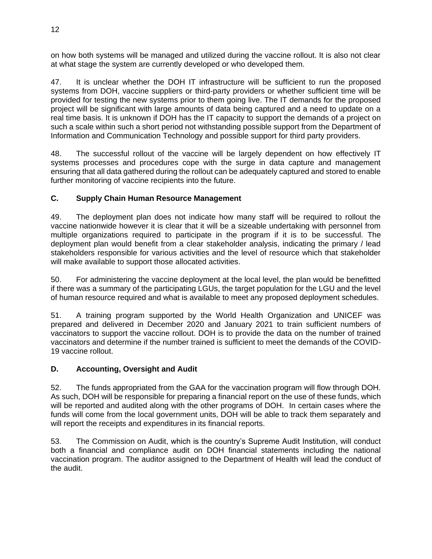on how both systems will be managed and utilized during the vaccine rollout. It is also not clear at what stage the system are currently developed or who developed them.

47. It is unclear whether the DOH IT infrastructure will be sufficient to run the proposed systems from DOH, vaccine suppliers or third-party providers or whether sufficient time will be provided for testing the new systems prior to them going live. The IT demands for the proposed project will be significant with large amounts of data being captured and a need to update on a real time basis. It is unknown if DOH has the IT capacity to support the demands of a project on such a scale within such a short period not withstanding possible support from the Department of Information and Communication Technology and possible support for third party providers.

48. The successful rollout of the vaccine will be largely dependent on how effectively IT systems processes and procedures cope with the surge in data capture and management ensuring that all data gathered during the rollout can be adequately captured and stored to enable further monitoring of vaccine recipients into the future.

### **C. Supply Chain Human Resource Management**

49. The deployment plan does not indicate how many staff will be required to rollout the vaccine nationwide however it is clear that it will be a sizeable undertaking with personnel from multiple organizations required to participate in the program if it is to be successful. The deployment plan would benefit from a clear stakeholder analysis, indicating the primary / lead stakeholders responsible for various activities and the level of resource which that stakeholder will make available to support those allocated activities.

50. For administering the vaccine deployment at the local level, the plan would be benefitted if there was a summary of the participating LGUs, the target population for the LGU and the level of human resource required and what is available to meet any proposed deployment schedules.

51. A training program supported by the World Health Organization and UNICEF was prepared and delivered in December 2020 and January 2021 to train sufficient numbers of vaccinators to support the vaccine rollout. DOH is to provide the data on the number of trained vaccinators and determine if the number trained is sufficient to meet the demands of the COVID-19 vaccine rollout.

### **D. Accounting, Oversight and Audit**

52. The funds appropriated from the GAA for the vaccination program will flow through DOH. As such, DOH will be responsible for preparing a financial report on the use of these funds, which will be reported and audited along with the other programs of DOH. In certain cases where the funds will come from the local government units, DOH will be able to track them separately and will report the receipts and expenditures in its financial reports.

53. The Commission on Audit, which is the country's Supreme Audit Institution, will conduct both a financial and compliance audit on DOH financial statements including the national vaccination program. The auditor assigned to the Department of Health will lead the conduct of the audit.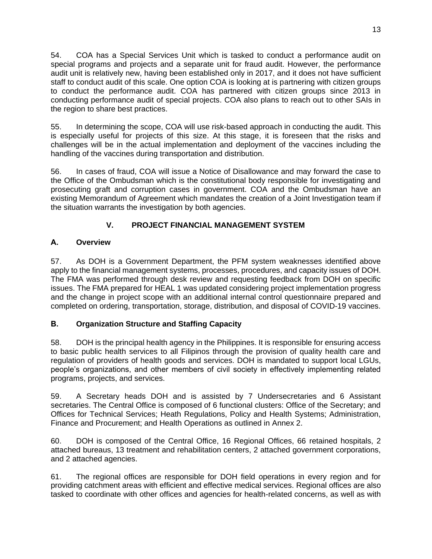54. COA has a Special Services Unit which is tasked to conduct a performance audit on special programs and projects and a separate unit for fraud audit. However, the performance audit unit is relatively new, having been established only in 2017, and it does not have sufficient staff to conduct audit of this scale. One option COA is looking at is partnering with citizen groups to conduct the performance audit. COA has partnered with citizen groups since 2013 in conducting performance audit of special projects. COA also plans to reach out to other SAIs in the region to share best practices.

55. In determining the scope, COA will use risk-based approach in conducting the audit. This is especially useful for projects of this size. At this stage, it is foreseen that the risks and challenges will be in the actual implementation and deployment of the vaccines including the handling of the vaccines during transportation and distribution.

56. In cases of fraud, COA will issue a Notice of Disallowance and may forward the case to the Office of the Ombudsman which is the constitutional body responsible for investigating and prosecuting graft and corruption cases in government. COA and the Ombudsman have an existing Memorandum of Agreement which mandates the creation of a Joint Investigation team if the situation warrants the investigation by both agencies.

# **V. PROJECT FINANCIAL MANAGEMENT SYSTEM**

# **A. Overview**

57. As DOH is a Government Department, the PFM system weaknesses identified above apply to the financial management systems, processes, procedures, and capacity issues of DOH. The FMA was performed through desk review and requesting feedback from DOH on specific issues. The FMA prepared for HEAL 1 was updated considering project implementation progress and the change in project scope with an additional internal control questionnaire prepared and completed on ordering, transportation, storage, distribution, and disposal of COVID-19 vaccines.

# **B. Organization Structure and Staffing Capacity**

58. DOH is the principal health agency in the Philippines. It is responsible for ensuring access to basic public health services to all Filipinos through the provision of quality health care and regulation of providers of health goods and services. DOH is mandated to support local LGUs, people's organizations, and other members of civil society in effectively implementing related programs, projects, and services.

59. A Secretary heads DOH and is assisted by 7 Undersecretaries and 6 Assistant secretaries. The Central Office is composed of 6 functional clusters: Office of the Secretary; and Offices for Technical Services; Heath Regulations, Policy and Health Systems; Administration, Finance and Procurement; and Health Operations as outlined in Annex 2.

60. DOH is composed of the Central Office, 16 Regional Offices, 66 retained hospitals, 2 attached bureaus, 13 treatment and rehabilitation centers, 2 attached government corporations, and 2 attached agencies.

61. The regional offices are responsible for DOH field operations in every region and for providing catchment areas with efficient and effective medical services. Regional offices are also tasked to coordinate with other offices and agencies for health-related concerns, as well as with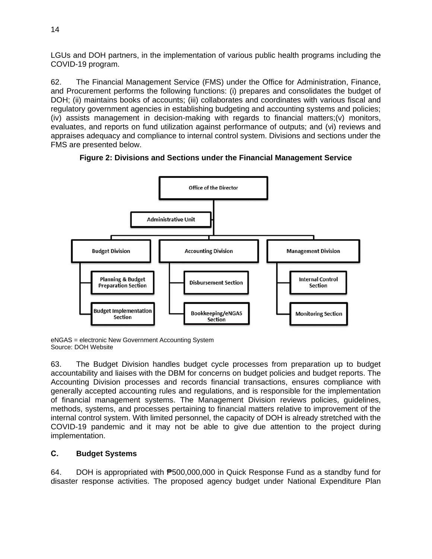LGUs and DOH partners, in the implementation of various public health programs including the COVID-19 program.

62. The Financial Management Service (FMS) under the Office for Administration, Finance, and Procurement performs the following functions: (i) prepares and consolidates the budget of DOH; (ii) maintains books of accounts; (iii) collaborates and coordinates with various fiscal and regulatory government agencies in establishing budgeting and accounting systems and policies; (iv) assists management in decision-making with regards to financial matters;(v) monitors, evaluates, and reports on fund utilization against performance of outputs; and (vi) reviews and appraises adequacy and compliance to internal control system. Divisions and sections under the FMS are presented below.



**Figure 2: Divisions and Sections under the Financial Management Service**

eNGAS = electronic New Government Accounting System Source: DOH Website

63. The Budget Division handles budget cycle processes from preparation up to budget accountability and liaises with the DBM for concerns on budget policies and budget reports. The Accounting Division processes and records financial transactions, ensures compliance with generally accepted accounting rules and regulations, and is responsible for the implementation of financial management systems. The Management Division reviews policies, guidelines, methods, systems, and processes pertaining to financial matters relative to improvement of the internal control system. With limited personnel, the capacity of DOH is already stretched with the COVID-19 pandemic and it may not be able to give due attention to the project during implementation.

### **C. Budget Systems**

64. DOH is appropriated with ₱500,000,000 in Quick Response Fund as a standby fund for disaster response activities. The proposed agency budget under National Expenditure Plan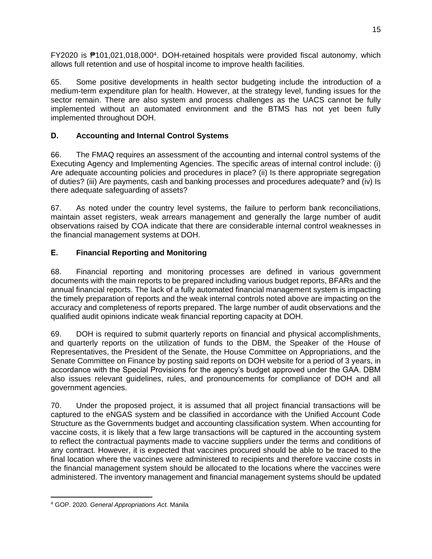FY2020 is <sup>#</sup>101,021,018,000<sup>4</sup>. DOH-retained hospitals were provided fiscal autonomy, which allows full retention and use of hospital income to improve health facilities.

65. Some positive developments in health sector budgeting include the introduction of a medium-term expenditure plan for health. However, at the strategy level, funding issues for the sector remain. There are also system and process challenges as the UACS cannot be fully implemented without an automated environment and the BTMS has not yet been fully implemented throughout DOH.

# **D. Accounting and Internal Control Systems**

66. The FMAQ requires an assessment of the accounting and internal control systems of the Executing Agency and Implementing Agencies. The specific areas of internal control include: (i) Are adequate accounting policies and procedures in place? (ii) Is there appropriate segregation of duties? (iii) Are payments, cash and banking processes and procedures adequate? and (iv) Is there adequate safeguarding of assets?

67. As noted under the country level systems, the failure to perform bank reconciliations, maintain asset registers, weak arrears management and generally the large number of audit observations raised by COA indicate that there are considerable internal control weaknesses in the financial management systems at DOH.

# **E. Financial Reporting and Monitoring**

68. Financial reporting and monitoring processes are defined in various government documents with the main reports to be prepared including various budget reports, BFARs and the annual financial reports. The lack of a fully automated financial management system is impacting the timely preparation of reports and the weak internal controls noted above are impacting on the accuracy and completeness of reports prepared. The large number of audit observations and the qualified audit opinions indicate weak financial reporting capacity at DOH.

69. DOH is required to submit quarterly reports on financial and physical accomplishments, and quarterly reports on the utilization of funds to the DBM, the Speaker of the House of Representatives, the President of the Senate, the House Committee on Appropriations, and the Senate Committee on Finance by posting said reports on DOH website for a period of 3 years, in accordance with the Special Provisions for the agency's budget approved under the GAA. DBM also issues relevant guidelines, rules, and pronouncements for compliance of DOH and all government agencies.

70. Under the proposed project, it is assumed that all project financial transactions will be captured to the eNGAS system and be classified in accordance with the Unified Account Code Structure as the Governments budget and accounting classification system. When accounting for vaccine costs, it is likely that a few large transactions will be captured in the accounting system to reflect the contractual payments made to vaccine suppliers under the terms and conditions of any contract. However, it is expected that vaccines procured should be able to be traced to the final location where the vaccines were administered to recipients and therefore vaccine costs in the financial management system should be allocated to the locations where the vaccines were administered. The inventory management and financial management systems should be updated

<sup>4</sup> GOP. 2020. *General Appropriations Act.* Manila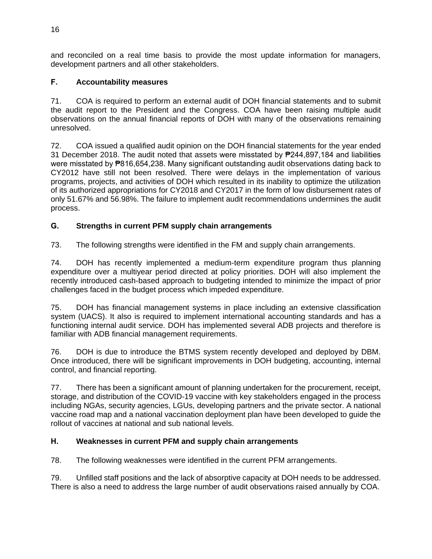and reconciled on a real time basis to provide the most update information for managers, development partners and all other stakeholders.

### **F. Accountability measures**

71. COA is required to perform an external audit of DOH financial statements and to submit the audit report to the President and the Congress. COA have been raising multiple audit observations on the annual financial reports of DOH with many of the observations remaining unresolved.

72. COA issued a qualified audit opinion on the DOH financial statements for the year ended 31 December 2018. The audit noted that assets were misstated by ₱244,897,184 and liabilities were misstated by **P**816,654,238. Many significant outstanding audit observations dating back to CY2012 have still not been resolved. There were delays in the implementation of various programs, projects, and activities of DOH which resulted in its inability to optimize the utilization of its authorized appropriations for CY2018 and CY2017 in the form of low disbursement rates of only 51.67% and 56.98%. The failure to implement audit recommendations undermines the audit process.

## **G. Strengths in current PFM supply chain arrangements**

73. The following strengths were identified in the FM and supply chain arrangements.

74. DOH has recently implemented a medium-term expenditure program thus planning expenditure over a multiyear period directed at policy priorities. DOH will also implement the recently introduced cash-based approach to budgeting intended to minimize the impact of prior challenges faced in the budget process which impeded expenditure.

75. DOH has financial management systems in place including an extensive classification system (UACS). It also is required to implement international accounting standards and has a functioning internal audit service. DOH has implemented several ADB projects and therefore is familiar with ADB financial management requirements.

76. DOH is due to introduce the BTMS system recently developed and deployed by DBM. Once introduced, there will be significant improvements in DOH budgeting, accounting, internal control, and financial reporting.

77. There has been a significant amount of planning undertaken for the procurement, receipt, storage, and distribution of the COVID-19 vaccine with key stakeholders engaged in the process including NGAs, security agencies, LGUs, developing partners and the private sector. A national vaccine road map and a national vaccination deployment plan have been developed to guide the rollout of vaccines at national and sub national levels.

### **H. Weaknesses in current PFM and supply chain arrangements**

78. The following weaknesses were identified in the current PFM arrangements.

79. Unfilled staff positions and the lack of absorptive capacity at DOH needs to be addressed. There is also a need to address the large number of audit observations raised annually by COA.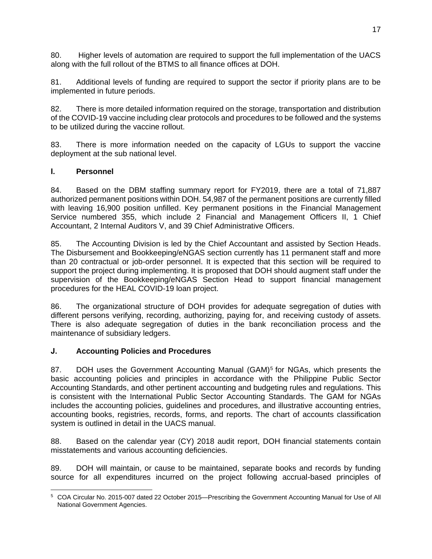80. Higher levels of automation are required to support the full implementation of the UACS along with the full rollout of the BTMS to all finance offices at DOH.

81. Additional levels of funding are required to support the sector if priority plans are to be implemented in future periods.

82. There is more detailed information required on the storage, transportation and distribution of the COVID-19 vaccine including clear protocols and procedures to be followed and the systems to be utilized during the vaccine rollout.

83. There is more information needed on the capacity of LGUs to support the vaccine deployment at the sub national level.

#### **I. Personnel**

84. Based on the DBM staffing summary report for FY2019, there are a total of 71,887 authorized permanent positions within DOH. 54,987 of the permanent positions are currently filled with leaving 16,900 position unfilled. Key permanent positions in the Financial Management Service numbered 355, which include 2 Financial and Management Officers II, 1 Chief Accountant, 2 Internal Auditors V, and 39 Chief Administrative Officers.

85. The Accounting Division is led by the Chief Accountant and assisted by Section Heads. The Disbursement and Bookkeeping/eNGAS section currently has 11 permanent staff and more than 20 contractual or job-order personnel. It is expected that this section will be required to support the project during implementing. It is proposed that DOH should augment staff under the supervision of the Bookkeeping/eNGAS Section Head to support financial management procedures for the HEAL COVID-19 loan project.

86. The organizational structure of DOH provides for adequate segregation of duties with different persons verifying, recording, authorizing, paying for, and receiving custody of assets. There is also adequate segregation of duties in the bank reconciliation process and the maintenance of subsidiary ledgers.

### **J. Accounting Policies and Procedures**

87. DOH uses the Government Accounting Manual (GAM)<sup>5</sup> for NGAs, which presents the basic accounting policies and principles in accordance with the Philippine Public Sector Accounting Standards, and other pertinent accounting and budgeting rules and regulations. This is consistent with the International Public Sector Accounting Standards. The GAM for NGAs includes the accounting policies, guidelines and procedures, and illustrative accounting entries, accounting books, registries, records, forms, and reports. The chart of accounts classification system is outlined in detail in the UACS manual.

88. Based on the calendar year (CY) 2018 audit report, DOH financial statements contain misstatements and various accounting deficiencies.

89. DOH will maintain, or cause to be maintained, separate books and records by funding source for all expenditures incurred on the project following accrual-based principles of

<sup>5</sup> COA Circular No. 2015-007 dated 22 October 2015—Prescribing the Government Accounting Manual for Use of All National Government Agencies.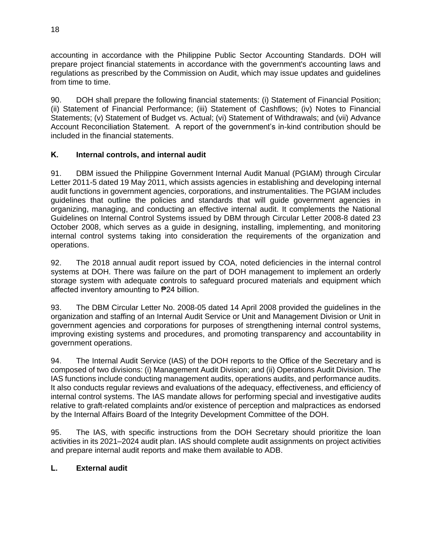accounting in accordance with the Philippine Public Sector Accounting Standards. DOH will prepare project financial statements in accordance with the government's accounting laws and regulations as prescribed by the Commission on Audit, which may issue updates and guidelines from time to time.

90. DOH shall prepare the following financial statements: (i) Statement of Financial Position; (ii) Statement of Financial Performance; (iii) Statement of Cashflows; (iv) Notes to Financial Statements; (v) Statement of Budget vs. Actual; (vi) Statement of Withdrawals; and (vii) Advance Account Reconciliation Statement. A report of the government's in-kind contribution should be included in the financial statements.

### **K. Internal controls, and internal audit**

91. DBM issued the Philippine Government Internal Audit Manual (PGIAM) through Circular Letter 2011-5 dated 19 May 2011, which assists agencies in establishing and developing internal audit functions in government agencies, corporations, and instrumentalities. The PGIAM includes guidelines that outline the policies and standards that will guide government agencies in organizing, managing, and conducting an effective internal audit. It complements the National Guidelines on Internal Control Systems issued by DBM through Circular Letter 2008-8 dated 23 October 2008, which serves as a guide in designing, installing, implementing, and monitoring internal control systems taking into consideration the requirements of the organization and operations.

92. The 2018 annual audit report issued by COA, noted deficiencies in the internal control systems at DOH. There was failure on the part of DOH management to implement an orderly storage system with adequate controls to safeguard procured materials and equipment which affected inventory amounting to ₱24 billion.

93. The DBM Circular Letter No. 2008-05 dated 14 April 2008 provided the guidelines in the organization and staffing of an Internal Audit Service or Unit and Management Division or Unit in government agencies and corporations for purposes of strengthening internal control systems, improving existing systems and procedures, and promoting transparency and accountability in government operations.

94. The Internal Audit Service (IAS) of the DOH reports to the Office of the Secretary and is composed of two divisions: (i) Management Audit Division; and (ii) Operations Audit Division. The IAS functions include conducting management audits, operations audits, and performance audits. It also conducts regular reviews and evaluations of the adequacy, effectiveness, and efficiency of internal control systems. The IAS mandate allows for performing special and investigative audits relative to graft-related complaints and/or existence of perception and malpractices as endorsed by the Internal Affairs Board of the Integrity Development Committee of the DOH.

95. The IAS, with specific instructions from the DOH Secretary should prioritize the loan activities in its 2021–2024 audit plan. IAS should complete audit assignments on project activities and prepare internal audit reports and make them available to ADB.

### **L. External audit**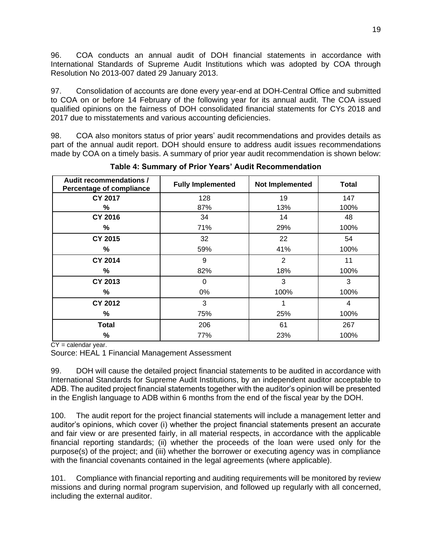96. COA conducts an annual audit of DOH financial statements in accordance with International Standards of Supreme Audit Institutions which was adopted by COA through Resolution No 2013-007 dated 29 January 2013.

97. Consolidation of accounts are done every year-end at DOH-Central Office and submitted to COA on or before 14 February of the following year for its annual audit. The COA issued qualified opinions on the fairness of DOH consolidated financial statements for CYs 2018 and 2017 due to misstatements and various accounting deficiencies.

98. COA also monitors status of prior years' audit recommendations and provides details as part of the annual audit report. DOH should ensure to address audit issues recommendations made by COA on a timely basis. A summary of prior year audit recommendation is shown below:

| Audit recommendations /<br>Percentage of compliance | <b>Fully Implemented</b> | Not Implemented | <b>Total</b> |
|-----------------------------------------------------|--------------------------|-----------------|--------------|
| <b>CY 2017</b>                                      | 128                      | 19              | 147          |
| %                                                   | 87%                      | 13%             | 100%         |
| <b>CY 2016</b>                                      | 34                       | 14              | 48           |
| %                                                   | 71%                      | 29%             | 100%         |
| <b>CY 2015</b>                                      | 32                       | 22              | 54           |
| %                                                   | 59%                      | 41%             | 100%         |
| <b>CY 2014</b>                                      | 9                        | 2               | 11           |
| ℅                                                   | 82%                      | 18%             | 100%         |
| <b>CY 2013</b>                                      | $\Omega$                 | 3               | 3            |
| ℅                                                   | $0\%$                    | 100%            | 100%         |
| <b>CY 2012</b>                                      | 3                        |                 | 4            |
| %                                                   | 75%                      | 25%             | 100%         |
| <b>Total</b>                                        | 206                      | 61              | 267          |
| %                                                   | 77%                      | 23%             | 100%         |

**Table 4: Summary of Prior Years' Audit Recommendation**

 $CY =$  calendar year.

Source: HEAL 1 Financial Management Assessment

99. DOH will cause the detailed project financial statements to be audited in accordance with International Standards for Supreme Audit Institutions, by an independent auditor acceptable to ADB. The audited project financial statements together with the auditor's opinion will be presented in the English language to ADB within 6 months from the end of the fiscal year by the DOH.

100. The audit report for the project financial statements will include a management letter and auditor's opinions, which cover (i) whether the project financial statements present an accurate and fair view or are presented fairly, in all material respects, in accordance with the applicable financial reporting standards; (ii) whether the proceeds of the loan were used only for the purpose(s) of the project; and (iii) whether the borrower or executing agency was in compliance with the financial covenants contained in the legal agreements (where applicable).

101. Compliance with financial reporting and auditing requirements will be monitored by review missions and during normal program supervision, and followed up regularly with all concerned, including the external auditor.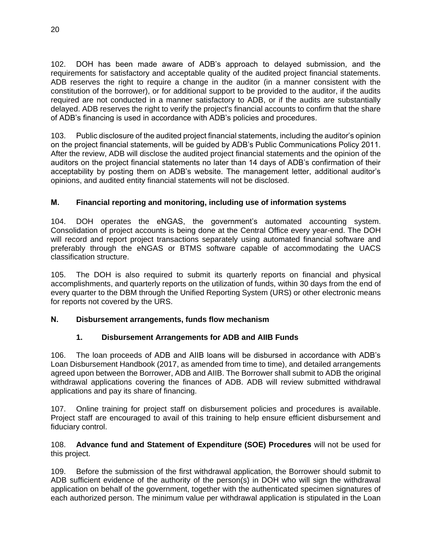102. DOH has been made aware of ADB's approach to delayed submission, and the requirements for satisfactory and acceptable quality of the audited project financial statements. ADB reserves the right to require a change in the auditor (in a manner consistent with the constitution of the borrower), or for additional support to be provided to the auditor, if the audits required are not conducted in a manner satisfactory to ADB, or if the audits are substantially delayed. ADB reserves the right to verify the project's financial accounts to confirm that the share of ADB's financing is used in accordance with ADB's policies and procedures.

103. Public disclosure of the audited project financial statements, including the auditor's opinion on the project financial statements, will be guided by ADB's Public Communications Policy 2011. After the review, ADB will disclose the audited project financial statements and the opinion of the auditors on the project financial statements no later than 14 days of ADB's confirmation of their acceptability by posting them on ADB's website. The management letter, additional auditor's opinions, and audited entity financial statements will not be disclosed.

## **M. Financial reporting and monitoring, including use of information systems**

104. DOH operates the eNGAS, the government's automated accounting system. Consolidation of project accounts is being done at the Central Office every year-end. The DOH will record and report project transactions separately using automated financial software and preferably through the eNGAS or BTMS software capable of accommodating the UACS classification structure.

105. The DOH is also required to submit its quarterly reports on financial and physical accomplishments, and quarterly reports on the utilization of funds, within 30 days from the end of every quarter to the DBM through the Unified Reporting System (URS) or other electronic means for reports not covered by the URS.

### **N. Disbursement arrangements, funds flow mechanism**

### **1. Disbursement Arrangements for ADB and AIIB Funds**

106. The loan proceeds of ADB and AIIB loans will be disbursed in accordance with ADB's Loan Disbursement Handbook (2017, as amended from time to time), and detailed arrangements agreed upon between the Borrower, ADB and AIIB. The Borrower shall submit to ADB the original withdrawal applications covering the finances of ADB. ADB will review submitted withdrawal applications and pay its share of financing.

107. Online training for project staff on disbursement policies and procedures is available. Project staff are encouraged to avail of this training to help ensure efficient disbursement and fiduciary control.

#### 108. **Advance fund and Statement of Expenditure (SOE) Procedures** will not be used for this project.

109. Before the submission of the first withdrawal application, the Borrower should submit to ADB sufficient evidence of the authority of the person(s) in DOH who will sign the withdrawal application on behalf of the government, together with the authenticated specimen signatures of each authorized person. The minimum value per withdrawal application is stipulated in the Loan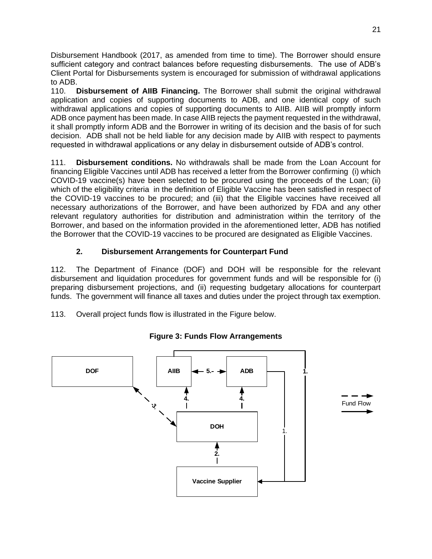Disbursement Handbook (2017, as amended from time to time). The Borrower should ensure sufficient category and contract balances before requesting disbursements. The use of ADB's Client Portal for Disbursements system is encouraged for submission of withdrawal applications to ADB.

110. **Disbursement of AIIB Financing.** The Borrower shall submit the original withdrawal application and copies of supporting documents to ADB, and one identical copy of such withdrawal applications and copies of supporting documents to AIIB. AIIB will promptly inform ADB once payment has been made. In case AIIB rejects the payment requested in the withdrawal, it shall promptly inform ADB and the Borrower in writing of its decision and the basis of for such decision. ADB shall not be held liable for any decision made by AIIB with respect to payments requested in withdrawal applications or any delay in disbursement outside of ADB's control.

111. **Disbursement conditions.** No withdrawals shall be made from the Loan Account for financing Eligible Vaccines until ADB has received a letter from the Borrower confirming (i) which COVID-19 vaccine(s) have been selected to be procured using the proceeds of the Loan; (ii) which of the eligibility criteria in the definition of Eligible Vaccine has been satisfied in respect of the COVID-19 vaccines to be procured; and (iii) that the Eligible vaccines have received all necessary authorizations of the Borrower, and have been authorized by FDA and any other relevant regulatory authorities for distribution and administration within the territory of the Borrower, and based on the information provided in the aforementioned letter, ADB has notified the Borrower that the COVID-19 vaccines to be procured are designated as Eligible Vaccines.

## **2. Disbursement Arrangements for Counterpart Fund**

112. The Department of Finance (DOF) and DOH will be responsible for the relevant disbursement and liquidation procedures for government funds and will be responsible for (i) preparing disbursement projections, and (ii) requesting budgetary allocations for counterpart funds. The government will finance all taxes and duties under the project through tax exemption.

113. Overall project funds flow is illustrated in the Figure below.



### **Figure 3: Funds Flow Arrangements**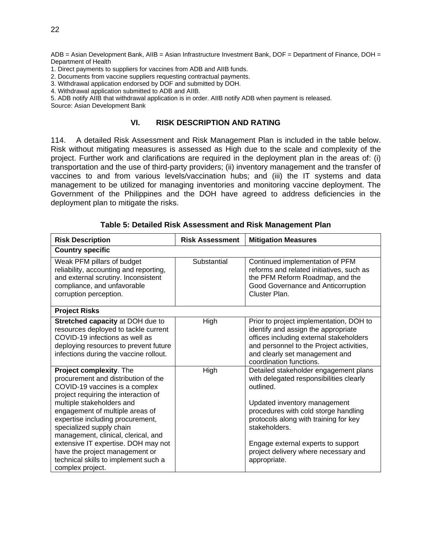ADB = Asian Development Bank, AIIB = Asian Infrastructure Investment Bank, DOF = Department of Finance, DOH = Department of Health

- 1. Direct payments to suppliers for vaccines from ADB and AIIB funds.
- 2. Documents from vaccine suppliers requesting contractual payments.
- 3. Withdrawal application endorsed by DOF and submitted by DOH.
- 4. Withdrawal application submitted to ADB and AIIB.

5. ADB notify AIIB that withdrawal application is in order. AIIB notify ADB when payment is released.

Source: Asian Development Bank

#### **VI. RISK DESCRIPTION AND RATING**

114. A detailed Risk Assessment and Risk Management Plan is included in the table below. Risk without mitigating measures is assessed as High due to the scale and complexity of the project. Further work and clarifications are required in the deployment plan in the areas of: (i) transportation and the use of third-party providers; (ii) inventory management and the transfer of vaccines to and from various levels/vaccination hubs; and (iii) the IT systems and data management to be utilized for managing inventories and monitoring vaccine deployment. The Government of the Philippines and the DOH have agreed to address deficiencies in the deployment plan to mitigate the risks.

| <b>Risk Description</b>                                                                                                                                                                                                                                                                                                                                                                                                                              | <b>Risk Assessment</b> | <b>Mitigation Measures</b>                                                                                                                                                                                                                                                                                                    |  |  |
|------------------------------------------------------------------------------------------------------------------------------------------------------------------------------------------------------------------------------------------------------------------------------------------------------------------------------------------------------------------------------------------------------------------------------------------------------|------------------------|-------------------------------------------------------------------------------------------------------------------------------------------------------------------------------------------------------------------------------------------------------------------------------------------------------------------------------|--|--|
| <b>Country specific</b>                                                                                                                                                                                                                                                                                                                                                                                                                              |                        |                                                                                                                                                                                                                                                                                                                               |  |  |
| Weak PFM pillars of budget<br>reliability, accounting and reporting,<br>and external scrutiny. Inconsistent<br>compliance, and unfavorable<br>corruption perception.                                                                                                                                                                                                                                                                                 | Substantial            | Continued implementation of PFM<br>reforms and related initiatives, such as<br>the PFM Reform Roadmap, and the<br>Good Governance and Anticorruption<br>Cluster Plan.                                                                                                                                                         |  |  |
| <b>Project Risks</b>                                                                                                                                                                                                                                                                                                                                                                                                                                 |                        |                                                                                                                                                                                                                                                                                                                               |  |  |
| <b>Stretched capacity at DOH due to</b><br>resources deployed to tackle current<br>COVID-19 infections as well as<br>deploying resources to prevent future<br>infections during the vaccine rollout.                                                                                                                                                                                                                                                 | <b>High</b>            | Prior to project implementation, DOH to<br>identify and assign the appropriate<br>offices including external stakeholders<br>and personnel to the Project activities,<br>and clearly set management and<br>coordination functions.                                                                                            |  |  |
| Project complexity. The<br>procurement and distribution of the<br>COVID-19 vaccines is a complex<br>project requiring the interaction of<br>multiple stakeholders and<br>engagement of multiple areas of<br>expertise including procurement,<br>specialized supply chain<br>management, clinical, clerical, and<br>extensive IT expertise. DOH may not<br>have the project management or<br>technical skills to implement such a<br>complex project. | High                   | Detailed stakeholder engagement plans<br>with delegated responsibilities clearly<br>outlined.<br>Updated inventory management<br>procedures with cold storge handling<br>protocols along with training for key<br>stakeholders.<br>Engage external experts to support<br>project delivery where necessary and<br>appropriate. |  |  |

**Table 5: Detailed Risk Assessment and Risk Management Plan**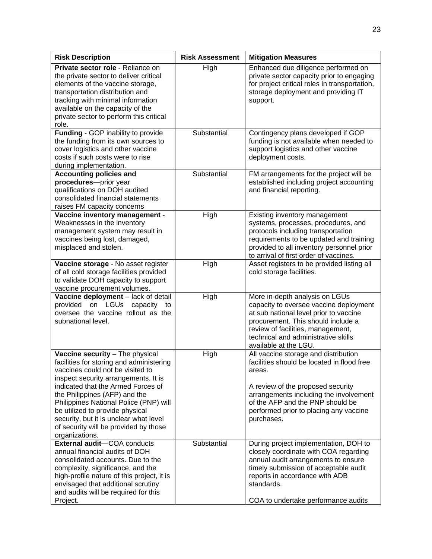| <b>Risk Description</b>                                                                                                                                                                                                                                                                                                                                                                                          | <b>Risk Assessment</b> | <b>Mitigation Measures</b>                                                                                                                                                                                                                                              |
|------------------------------------------------------------------------------------------------------------------------------------------------------------------------------------------------------------------------------------------------------------------------------------------------------------------------------------------------------------------------------------------------------------------|------------------------|-------------------------------------------------------------------------------------------------------------------------------------------------------------------------------------------------------------------------------------------------------------------------|
| Private sector role - Reliance on<br>the private sector to deliver critical<br>elements of the vaccine storage,<br>transportation distribution and<br>tracking with minimal information<br>available on the capacity of the<br>private sector to perform this critical<br>role.                                                                                                                                  | High                   | Enhanced due diligence performed on<br>private sector capacity prior to engaging<br>for project critical roles in transportation,<br>storage deployment and providing IT<br>support.                                                                                    |
| Funding - GOP inability to provide<br>the funding from its own sources to<br>cover logistics and other vaccine<br>costs if such costs were to rise<br>during implementation.                                                                                                                                                                                                                                     | Substantial            | Contingency plans developed if GOP<br>funding is not available when needed to<br>support logistics and other vaccine<br>deployment costs.                                                                                                                               |
| <b>Accounting policies and</b><br>procedures-prior year<br>qualifications on DOH audited<br>consolidated financial statements<br>raises FM capacity concerns                                                                                                                                                                                                                                                     | Substantial            | FM arrangements for the project will be<br>established including project accounting<br>and financial reporting.                                                                                                                                                         |
| Vaccine inventory management -<br>Weaknesses in the inventory<br>management system may result in<br>vaccines being lost, damaged,<br>misplaced and stolen.                                                                                                                                                                                                                                                       | High                   | Existing inventory management<br>systems, processes, procedures, and<br>protocols including transportation<br>requirements to be updated and training<br>provided to all inventory personnel prior<br>to arrival of first order of vaccines.                            |
| Vaccine storage - No asset register<br>of all cold storage facilities provided<br>to validate DOH capacity to support<br>vaccine procurement volumes.                                                                                                                                                                                                                                                            | High                   | Asset registers to be provided listing all<br>cold storage facilities.                                                                                                                                                                                                  |
| Vaccine deployment - lack of detail<br>on LGUs<br>provided<br>capacity<br>to<br>oversee the vaccine rollout as the<br>subnational level.                                                                                                                                                                                                                                                                         | High                   | More in-depth analysis on LGUs<br>capacity to oversee vaccine deployment<br>at sub national level prior to vaccine<br>procurement. This should include a<br>review of facilities, management,<br>technical and administrative skills<br>available at the LGU.           |
| Vaccine security - The physical<br>facilities for storing and administering<br>vaccines could not be visited to<br>inspect security arrangements. It is<br>indicated that the Armed Forces of<br>the Philippines (AFP) and the<br>Philippines National Police (PNP) will<br>be utilized to provide physical<br>security, but it is unclear what level<br>of security will be provided by those<br>organizations. | High                   | All vaccine storage and distribution<br>facilities should be located in flood free<br>areas.<br>A review of the proposed security<br>arrangements including the involvement<br>of the AFP and the PNP should be<br>performed prior to placing any vaccine<br>purchases. |
| External audit-COA conducts<br>annual financial audits of DOH<br>consolidated accounts. Due to the<br>complexity, significance, and the<br>high-profile nature of this project, it is<br>envisaged that additional scrutiny<br>and audits will be required for this<br>Project.                                                                                                                                  | Substantial            | During project implementation, DOH to<br>closely coordinate with COA regarding<br>annual audit arrangements to ensure<br>timely submission of acceptable audit<br>reports in accordance with ADB<br>standards.<br>COA to undertake performance audits                   |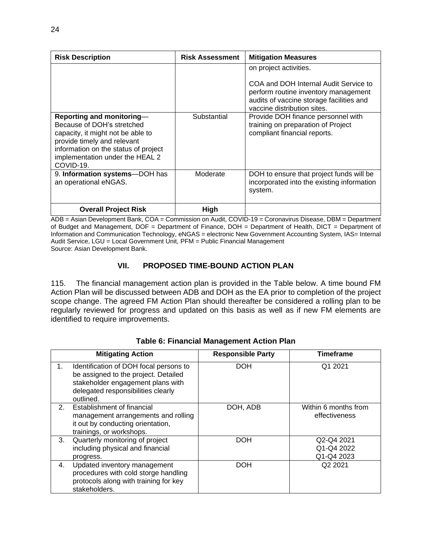| <b>Risk Description</b>                                                                                                                                                                                             | <b>Risk Assessment</b> | <b>Mitigation Measures</b>                                                                                                                                                         |
|---------------------------------------------------------------------------------------------------------------------------------------------------------------------------------------------------------------------|------------------------|------------------------------------------------------------------------------------------------------------------------------------------------------------------------------------|
|                                                                                                                                                                                                                     |                        | on project activities.<br>COA and DOH Internal Audit Service to<br>perform routine inventory management<br>audits of vaccine storage facilities and<br>vaccine distribution sites. |
| Reporting and monitoring-<br>Because of DOH's stretched<br>capacity, it might not be able to<br>provide timely and relevant<br>information on the status of project<br>implementation under the HEAL 2<br>COVID-19. | Substantial            | Provide DOH finance personnel with<br>training on preparation of Project<br>compliant financial reports.                                                                           |
| 9. Information systems-DOH has<br>an operational eNGAS.                                                                                                                                                             | Moderate               | DOH to ensure that project funds will be<br>incorporated into the existing information<br>system.                                                                                  |
| <b>Overall Project Risk</b>                                                                                                                                                                                         | High                   |                                                                                                                                                                                    |

ADB = Asian Development Bank, COA = Commission on Audit, COVID-19 = Coronavirus Disease, DBM = Department of Budget and Management, DOF = Department of Finance, DOH = Department of Health, DICT = Department of Information and Communication Technology, eNGAS = electronic New Government Accounting System, IAS= Internal Audit Service, LGU = Local Government Unit, PFM = Public Financial Management Source: Asian Development Bank.

### **VII. PROPOSED TIME-BOUND ACTION PLAN**

115. The financial management action plan is provided in the Table below. A time bound FM Action Plan will be discussed between ADB and DOH as the EA prior to completion of the project scope change. The agreed FM Action Plan should thereafter be considered a rolling plan to be regularly reviewed for progress and updated on this basis as well as if new FM elements are identified to require improvements.

|                | <b>Mitigating Action</b>                                                                                                                                               | <b>Responsible Party</b> | <b>Timeframe</b>                       |
|----------------|------------------------------------------------------------------------------------------------------------------------------------------------------------------------|--------------------------|----------------------------------------|
| 1.             | Identification of DOH focal persons to<br>be assigned to the project. Detailed<br>stakeholder engagement plans with<br>delegated responsibilities clearly<br>outlined. | <b>DOH</b>               | Q1 2021                                |
| 2 <sup>1</sup> | Establishment of financial<br>management arrangements and rolling<br>it out by conducting orientation,<br>trainings, or workshops.                                     | DOH, ADB                 | Within 6 months from<br>effectiveness  |
| 3.             | Quarterly monitoring of project<br>including physical and financial<br>progress.                                                                                       | <b>DOH</b>               | Q2-Q4 2021<br>Q1-Q4 2022<br>Q1-Q4 2023 |
| 4.             | Updated inventory management<br>procedures with cold storge handling<br>protocols along with training for key<br>stakeholders.                                         | <b>DOH</b>               | Q <sub>2</sub> 2021                    |

#### **Table 6: Financial Management Action Plan**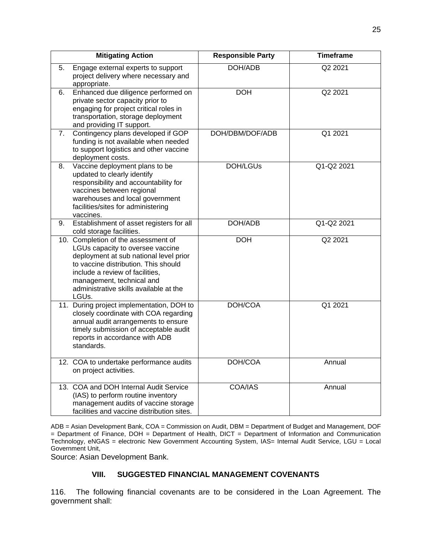|    | <b>Mitigating Action</b>                                                                                                                                                                                                                                                     | <b>Responsible Party</b> | <b>Timeframe</b> |
|----|------------------------------------------------------------------------------------------------------------------------------------------------------------------------------------------------------------------------------------------------------------------------------|--------------------------|------------------|
| 5. | Engage external experts to support<br>project delivery where necessary and<br>appropriate.                                                                                                                                                                                   | DOH/ADB                  | Q2 2021          |
| 6. | Enhanced due diligence performed on<br>private sector capacity prior to<br>engaging for project critical roles in<br>transportation, storage deployment<br>and providing IT support.                                                                                         | <b>DOH</b>               | Q2 2021          |
| 7. | Contingency plans developed if GOP<br>funding is not available when needed<br>to support logistics and other vaccine<br>deployment costs.                                                                                                                                    | DOH/DBM/DOF/ADB          | Q1 2021          |
| 8. | Vaccine deployment plans to be<br>updated to clearly identify<br>responsibility and accountability for<br>vaccines between regional<br>warehouses and local government<br>facilities/sites for administering<br>vaccines.                                                    | DOH/LGUs                 | Q1-Q2 2021       |
| 9. | Establishment of asset registers for all<br>cold storage facilities.                                                                                                                                                                                                         | DOH/ADB                  | Q1-Q2 2021       |
|    | 10. Completion of the assessment of<br>LGUs capacity to oversee vaccine<br>deployment at sub national level prior<br>to vaccine distribution. This should<br>include a review of facilities,<br>management, technical and<br>administrative skills available at the<br>LGUs. | <b>DOH</b>               | Q2 2021          |
|    | 11. During project implementation, DOH to<br>closely coordinate with COA regarding<br>annual audit arrangements to ensure<br>timely submission of acceptable audit<br>reports in accordance with ADB<br>standards.                                                           | DOH/COA                  | Q1 2021          |
|    | 12. COA to undertake performance audits<br>on project activities.                                                                                                                                                                                                            | DOH/COA                  | Annual           |
|    | 13. COA and DOH Internal Audit Service<br>(IAS) to perform routine inventory<br>management audits of vaccine storage<br>facilities and vaccine distribution sites.                                                                                                           | COA/IAS                  | Annual           |

ADB = Asian Development Bank, COA = Commission on Audit, DBM = Department of Budget and Management, DOF = Department of Finance, DOH = Department of Health, DICT = Department of Information and Communication Technology, eNGAS = electronic New Government Accounting System, IAS= Internal Audit Service, LGU = Local Government Unit,

Source: Asian Development Bank.

## **VIII. SUGGESTED FINANCIAL MANAGEMENT COVENANTS**

116. The following financial covenants are to be considered in the Loan Agreement. The government shall: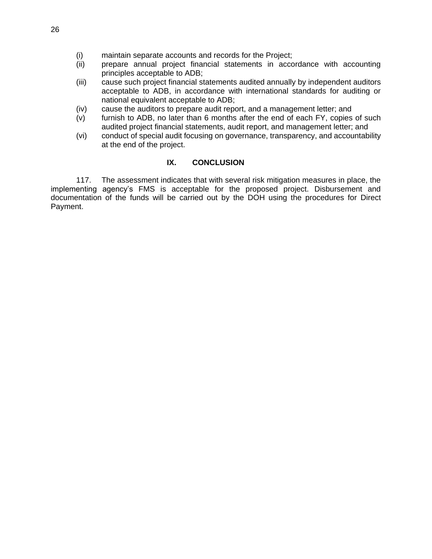- (i) maintain separate accounts and records for the Project;
- (ii) prepare annual project financial statements in accordance with accounting principles acceptable to ADB;
- (iii) cause such project financial statements audited annually by independent auditors acceptable to ADB, in accordance with international standards for auditing or national equivalent acceptable to ADB;
- (iv) cause the auditors to prepare audit report, and a management letter; and
- (v) furnish to ADB, no later than 6 months after the end of each FY, copies of such audited project financial statements, audit report, and management letter; and
- (vi) conduct of special audit focusing on governance, transparency, and accountability at the end of the project.

#### **IX. CONCLUSION**

117. The assessment indicates that with several risk mitigation measures in place, the implementing agency's FMS is acceptable for the proposed project. Disbursement and documentation of the funds will be carried out by the DOH using the procedures for Direct Payment.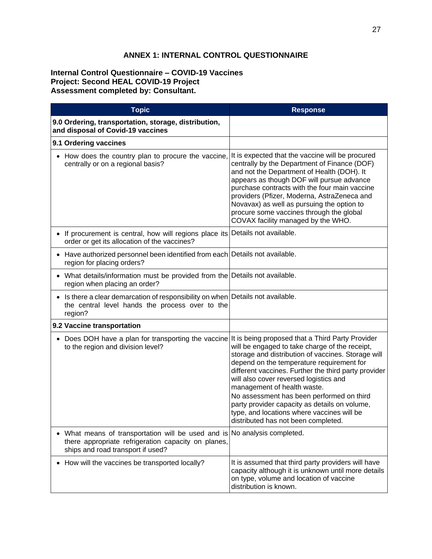#### **ANNEX 1: INTERNAL CONTROL QUESTIONNAIRE**

#### **Internal Control Questionnaire – COVID-19 Vaccines Project: Second HEAL COVID-19 Project Assessment completed by: Consultant.**

| <b>Topic</b>                                                                                                                                                          | <b>Response</b>                                                                                                                                                                                                                                                                                                                                                                                                                                                       |
|-----------------------------------------------------------------------------------------------------------------------------------------------------------------------|-----------------------------------------------------------------------------------------------------------------------------------------------------------------------------------------------------------------------------------------------------------------------------------------------------------------------------------------------------------------------------------------------------------------------------------------------------------------------|
| 9.0 Ordering, transportation, storage, distribution,<br>and disposal of Covid-19 vaccines                                                                             |                                                                                                                                                                                                                                                                                                                                                                                                                                                                       |
| 9.1 Ordering vaccines                                                                                                                                                 |                                                                                                                                                                                                                                                                                                                                                                                                                                                                       |
| • How does the country plan to procure the vaccine, It is expected that the vaccine will be procured<br>centrally or on a regional basis?                             | centrally by the Department of Finance (DOF)<br>and not the Department of Health (DOH). It<br>appears as though DOF will pursue advance<br>purchase contracts with the four main vaccine<br>providers (Pfizer, Moderna, AstraZeneca and<br>Novavax) as well as pursuing the option to<br>procure some vaccines through the global<br>COVAX facility managed by the WHO.                                                                                               |
| • If procurement is central, how will regions place its Details not available.<br>order or get its allocation of the vaccines?                                        |                                                                                                                                                                                                                                                                                                                                                                                                                                                                       |
| • Have authorized personnel been identified from each Details not available.<br>region for placing orders?                                                            |                                                                                                                                                                                                                                                                                                                                                                                                                                                                       |
| • What details/information must be provided from the Details not available.<br>region when placing an order?                                                          |                                                                                                                                                                                                                                                                                                                                                                                                                                                                       |
| • Is there a clear demarcation of responsibility on when Details not available.<br>the central level hands the process over to the<br>region?                         |                                                                                                                                                                                                                                                                                                                                                                                                                                                                       |
| 9.2 Vaccine transportation                                                                                                                                            |                                                                                                                                                                                                                                                                                                                                                                                                                                                                       |
| • Does DOH have a plan for transporting the vaccine It is being proposed that a Third Party Provider<br>to the region and division level?                             | will be engaged to take charge of the receipt,<br>storage and distribution of vaccines. Storage will<br>depend on the temperature requirement for<br>different vaccines. Further the third party provider<br>will also cover reversed logistics and<br>management of health waste.<br>No assessment has been performed on third<br>party provider capacity as details on volume,<br>type, and locations where vaccines will be<br>distributed has not been completed. |
| • What means of transportation will be used and is No analysis completed.<br>there appropriate refrigeration capacity on planes,<br>ships and road transport if used? |                                                                                                                                                                                                                                                                                                                                                                                                                                                                       |
| How will the vaccines be transported locally?                                                                                                                         | It is assumed that third party providers will have<br>capacity although it is unknown until more details<br>on type, volume and location of vaccine<br>distribution is known.                                                                                                                                                                                                                                                                                         |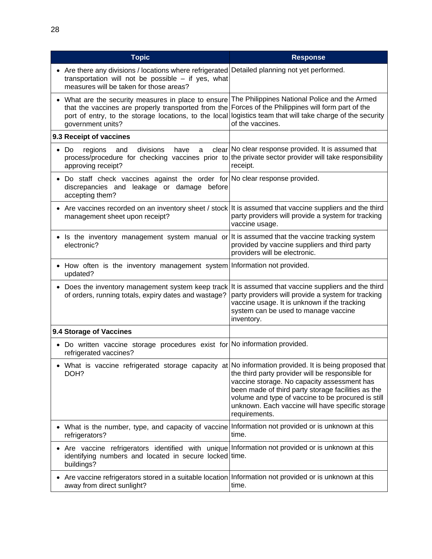| <b>Topic</b>                                                                                                                                                                                                                                                                                                                              | <b>Response</b>                                                                                                                                                                                                                                                                  |
|-------------------------------------------------------------------------------------------------------------------------------------------------------------------------------------------------------------------------------------------------------------------------------------------------------------------------------------------|----------------------------------------------------------------------------------------------------------------------------------------------------------------------------------------------------------------------------------------------------------------------------------|
| Are there any divisions / locations where refrigerated Detailed planning not yet performed.<br>transportation will not be possible - if yes, what<br>measures will be taken for those areas?                                                                                                                                              |                                                                                                                                                                                                                                                                                  |
| What are the security measures in place to ensure The Philippines National Police and the Armed<br>that the vaccines are properly transported from the Forces of the Philippines will form part of the<br>port of entry, to the storage locations, to the local logistics team that will take charge of the security<br>government units? | of the vaccines.                                                                                                                                                                                                                                                                 |
| 9.3 Receipt of vaccines                                                                                                                                                                                                                                                                                                                   |                                                                                                                                                                                                                                                                                  |
| divisions<br>Do<br>regions<br>have<br>and<br>a<br>process/procedure for checking vaccines prior to the private sector provider will take responsibility<br>approving receipt?                                                                                                                                                             | clear No clear response provided. It is assumed that<br>receipt.                                                                                                                                                                                                                 |
| Do staff check vaccines against the order for No clear response provided.<br>discrepancies and leakage or damage<br>before<br>accepting them?                                                                                                                                                                                             |                                                                                                                                                                                                                                                                                  |
| Are vaccines recorded on an inventory sheet / stock It is assumed that vaccine suppliers and the third<br>management sheet upon receipt?                                                                                                                                                                                                  | party providers will provide a system for tracking<br>vaccine usage.                                                                                                                                                                                                             |
| • Is the inventory management system manual or It is assumed that the vaccine tracking system<br>electronic?                                                                                                                                                                                                                              | provided by vaccine suppliers and third party<br>providers will be electronic.                                                                                                                                                                                                   |
| • How often is the inventory management system   Information not provided.<br>updated?                                                                                                                                                                                                                                                    |                                                                                                                                                                                                                                                                                  |
| • Does the inventory management system keep track It is assumed that vaccine suppliers and the third<br>of orders, running totals, expiry dates and wastage?                                                                                                                                                                              | party providers will provide a system for tracking<br>vaccine usage. It is unknown if the tracking<br>system can be used to manage vaccine<br>inventory.                                                                                                                         |
| 9.4 Storage of Vaccines                                                                                                                                                                                                                                                                                                                   |                                                                                                                                                                                                                                                                                  |
| Do written vaccine storage procedures exist for No information provided.<br>refrigerated vaccines?                                                                                                                                                                                                                                        |                                                                                                                                                                                                                                                                                  |
| What is vaccine refrigerated storage capacity at No information provided. It is being proposed that<br>DOH?                                                                                                                                                                                                                               | the third party provider will be responsible for<br>vaccine storage. No capacity assessment has<br>been made of third party storage facilities as the<br>volume and type of vaccine to be procured is still<br>unknown. Each vaccine will have specific storage<br>requirements. |
| • What is the number, type, and capacity of vaccine Information not provided or is unknown at this<br>refrigerators?                                                                                                                                                                                                                      | time.                                                                                                                                                                                                                                                                            |
| • Are vaccine refrigerators identified with unique Information not provided or is unknown at this<br>identifying numbers and located in secure locked time.<br>buildings?                                                                                                                                                                 |                                                                                                                                                                                                                                                                                  |
| Are vaccine refrigerators stored in a suitable location Information not provided or is unknown at this<br>away from direct sunlight?                                                                                                                                                                                                      | time.                                                                                                                                                                                                                                                                            |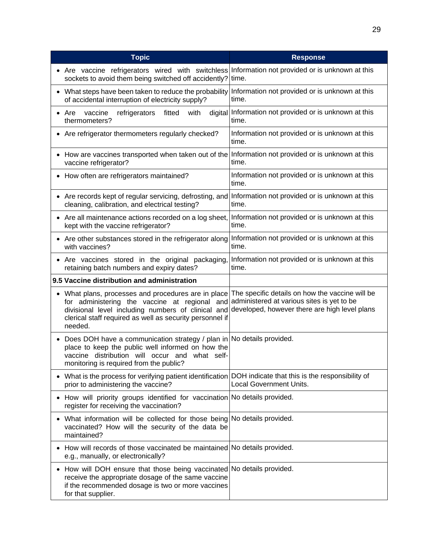| <b>Topic</b>                                                                                                                                                                                                                                                                    | <b>Response</b>                                                                             |
|---------------------------------------------------------------------------------------------------------------------------------------------------------------------------------------------------------------------------------------------------------------------------------|---------------------------------------------------------------------------------------------|
| • Are vaccine refrigerators wired with switchless<br>sockets to avoid them being switched off accidently?                                                                                                                                                                       | Information not provided or is unknown at this<br>time.                                     |
| What steps have been taken to reduce the probability<br>of accidental interruption of electricity supply?                                                                                                                                                                       | Information not provided or is unknown at this<br>time.                                     |
| refrigerators<br>with<br>Are<br>vaccine<br>fitted<br>thermometers?                                                                                                                                                                                                              | digital Information not provided or is unknown at this<br>time.                             |
| Are refrigerator thermometers regularly checked?                                                                                                                                                                                                                                | Information not provided or is unknown at this<br>time.                                     |
| How are vaccines transported when taken out of the<br>vaccine refrigerator?                                                                                                                                                                                                     | Information not provided or is unknown at this<br>time.                                     |
| How often are refrigerators maintained?                                                                                                                                                                                                                                         | Information not provided or is unknown at this<br>time.                                     |
| Are records kept of regular servicing, defrosting, and<br>cleaning, calibration, and electrical testing?                                                                                                                                                                        | Information not provided or is unknown at this<br>time.                                     |
| Are all maintenance actions recorded on a log sheet,<br>kept with the vaccine refrigerator?                                                                                                                                                                                     | Information not provided or is unknown at this<br>time.                                     |
| Are other substances stored in the refrigerator along<br>with vaccines?                                                                                                                                                                                                         | Information not provided or is unknown at this<br>time.                                     |
| Are vaccines stored in the original packaging,<br>retaining batch numbers and expiry dates?                                                                                                                                                                                     | Information not provided or is unknown at this<br>time.                                     |
| 9.5 Vaccine distribution and administration                                                                                                                                                                                                                                     |                                                                                             |
| What plans, processes and procedures are in place The specific details on how the vaccine will be<br>for administering the vaccine at regional and<br>divisional level including numbers of clinical and<br>clerical staff required as well as security personnel if<br>needed. | administered at various sites is yet to be<br>developed, however there are high level plans |
| Does DOH have a communication strategy / plan in No details provided.<br>place to keep the public well informed on how the<br>vaccine distribution will occur and<br>what self-<br>monitoring is required from the public?                                                      |                                                                                             |
| What is the process for verifying patient identification   DOH indicate that this is the responsibility of<br>prior to administering the vaccine?                                                                                                                               | Local Government Units.                                                                     |
| How will priority groups identified for vaccination No details provided.<br>register for receiving the vaccination?                                                                                                                                                             |                                                                                             |
| What information will be collected for those being No details provided.<br>vaccinated? How will the security of the data be<br>maintained?                                                                                                                                      |                                                                                             |
| How will records of those vaccinated be maintained No details provided.<br>e.g., manually, or electronically?                                                                                                                                                                   |                                                                                             |
| How will DOH ensure that those being vaccinated No details provided.<br>٠<br>receive the appropriate dosage of the same vaccine<br>if the recommended dosage is two or more vaccines<br>for that supplier.                                                                      |                                                                                             |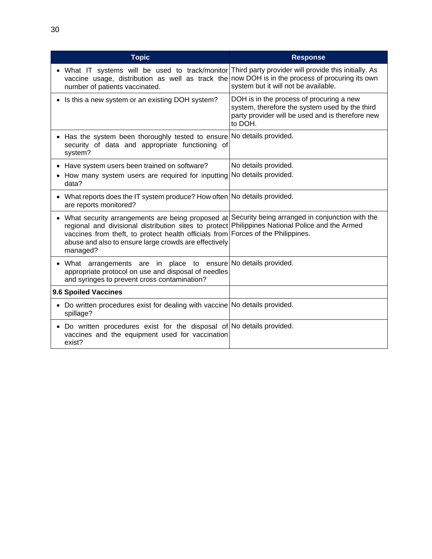| <b>Topic</b>                                                                                                                                                                                                                                                                                                                                                              | <b>Response</b>                                                                                                                                           |
|---------------------------------------------------------------------------------------------------------------------------------------------------------------------------------------------------------------------------------------------------------------------------------------------------------------------------------------------------------------------------|-----------------------------------------------------------------------------------------------------------------------------------------------------------|
| • What IT systems will be used to track/monitor Third party provider will provide this initially. As<br>vaccine usage, distribution as well as track the now DOH is in the process of procuring its own<br>number of patients vaccinated.                                                                                                                                 | system but it will not be available.                                                                                                                      |
| Is this a new system or an existing DOH system?                                                                                                                                                                                                                                                                                                                           | DOH is in the process of procuring a new<br>system, therefore the system used by the third<br>party provider will be used and is therefore new<br>to DOH. |
| Has the system been thoroughly tested to ensure No details provided.<br>security of data and appropriate functioning of<br>system?                                                                                                                                                                                                                                        |                                                                                                                                                           |
| Have system users been trained on software?                                                                                                                                                                                                                                                                                                                               | No details provided.                                                                                                                                      |
| How many system users are required for inputting<br>data?                                                                                                                                                                                                                                                                                                                 | No details provided.                                                                                                                                      |
| What reports does the IT system produce? How often No details provided.<br>are reports monitored?                                                                                                                                                                                                                                                                         |                                                                                                                                                           |
| What security arrangements are being proposed at Security being arranged in conjunction with the<br>$\bullet$<br>regional and divisional distribution sites to protect Philippines National Police and the Armed<br>vaccines from theft, to protect health officials from Forces of the Philippines.<br>abuse and also to ensure large crowds are effectively<br>managed? |                                                                                                                                                           |
| What arrangements are in place to ensure No details provided.<br>appropriate protocol on use and disposal of needles<br>and syringes to prevent cross contamination?                                                                                                                                                                                                      |                                                                                                                                                           |
| 9.6 Spoiled Vaccines                                                                                                                                                                                                                                                                                                                                                      |                                                                                                                                                           |
| • Do written procedures exist for dealing with vaccine No details provided.<br>spillage?                                                                                                                                                                                                                                                                                  |                                                                                                                                                           |
| Do written procedures exist for the disposal of No details provided.<br>$\bullet$<br>vaccines and the equipment used for vaccination<br>exist?                                                                                                                                                                                                                            |                                                                                                                                                           |